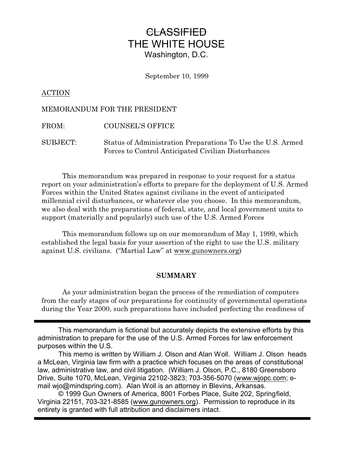# **CLASSIFIED** THE WHITE HOUSE Washington, D.C.

September 10, 1999

# ACTION

# MEMORANDUM FOR THE PRESIDENT

FROM: COUNSEL'S OFFICE

SUBJECT: Status of Administration Preparations To Use the U.S. Armed Forces to Control Anticipated Civilian Disturbances

This memorandum was prepared in response to your request for a status report on your administration's efforts to prepare for the deployment of U.S. Armed Forces within the United States against civilians in the event of anticipated millennial civil disturbances, or whatever else you choose. In this memorandum, we also deal with the preparations of federal, state, and local government units to support (materially and popularly) such use of the U.S. Armed Forces

This memorandum follows up on our memorandum of May 1, 1999, which established the legal basis for your assertion of the right to use the U.S. military against U.S. civilians. ("Martial Law" at www.gunowners.org)

## **SUMMARY**

As your administration began the process of the remediation of computers from the early stages of our preparations for continuity of governmental operations during the Year 2000, such preparations have included perfecting the readiness of

This memorandum is fictional but accurately depicts the extensive efforts by this administration to prepare for the use of the U.S. Armed Forces for law enforcement purposes within the U.S.

This memo is written by William J. Olson and Alan Woll. William J. Olson heads a McLean, Virginia law firm with a practice which focuses on the areas of constitutional law, administrative law, and civil litigation. (William J. Olson, P.C., 8180 Greensboro Drive, Suite 1070, McLean, Virginia 22102-3823; 703-356-5070 (www.wjopc.com; email wjo@mindspring.com). Alan Woll is an attorney in Blevins, Arkansas.

© 1999 Gun Owners of America, 8001 Forbes Place, Suite 202, Springfield, Virginia 22151, 703-321-8585 (www.gunowners.org). Permission to reproduce in its entirety is granted with full attribution and disclaimers intact.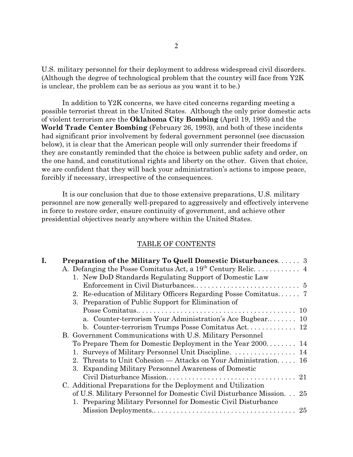U.S. military personnel for their deployment to address widespread civil disorders. (Although the degree of technological problem that the country will face from Y2K is unclear, the problem can be as serious as you want it to be.)

In addition to Y2K concerns, we have cited concerns regarding meeting a possible terrorist threat in the United States. Although the only prior domestic acts of violent terrorism are the **Oklahoma City Bombing** (April 19, 1995) and the **World Trade Center Bombing** (February 26, 1993), and both of these incidents had significant prior involvement by federal government personnel (see discussion below), it is clear that the American people will only surrender their freedoms if they are constantly reminded that the choice is between public safety and order, on the one hand, and constitutional rights and liberty on the other. Given that choice, we are confident that they will back your administration's actions to impose peace, forcibly if necessary, irrespective of the consequences.

It is our conclusion that due to those extensive preparations, U.S. military personnel are now generally well-prepared to aggressively and effectively intervene in force to restore order, ensure continuity of government, and achieve other presidential objectives nearly anywhere within the United States.

#### TABLE OF CONTENTS

| I. | <b>Preparation of the Military To Quell Domestic Disturbances</b> 3   |
|----|-----------------------------------------------------------------------|
|    |                                                                       |
|    | 1. New DoD Standards Regulating Support of Domestic Law               |
|    |                                                                       |
|    | 2. Re-education of Military Officers Regarding Posse Comitatus 7      |
|    | 3. Preparation of Public Support for Elimination of                   |
|    |                                                                       |
|    | a. Counter-terrorism Your Administration's Ace Bugbear 10             |
|    |                                                                       |
|    | B. Government Communications with U.S. Military Personnel             |
|    | To Prepare Them for Domestic Deployment in the Year 2000 14           |
|    | 1. Surveys of Military Personnel Unit Discipline. 14                  |
|    | 2. Threats to Unit Cohesion — Attacks on Your Administration 16       |
|    | 3. Expanding Military Personnel Awareness of Domestic                 |
|    |                                                                       |
|    | C. Additional Preparations for the Deployment and Utilization         |
|    | of U.S. Military Personnel for Domestic Civil Disturbance Mission. 25 |
|    | 1. Preparing Military Personnel for Domestic Civil Disturbance        |
|    |                                                                       |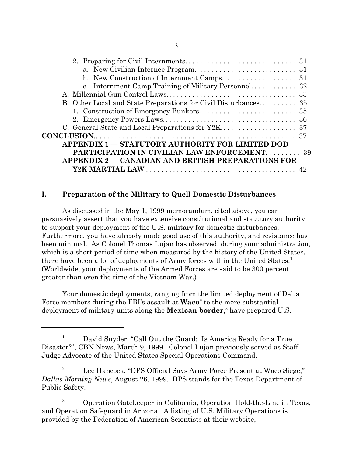| b. New Construction of Internment Camps. 31               |  |  |  |
|-----------------------------------------------------------|--|--|--|
|                                                           |  |  |  |
|                                                           |  |  |  |
|                                                           |  |  |  |
|                                                           |  |  |  |
|                                                           |  |  |  |
|                                                           |  |  |  |
|                                                           |  |  |  |
| <b>APPENDIX 1 - STATUTORY AUTHORITY FOR LIMITED DOD</b>   |  |  |  |
| <b>PARTICIPATION IN CIVILIAN LAW ENFORCEMENT 39</b>       |  |  |  |
| <b>APPENDIX 2 – CANADIAN AND BRITISH PREPARATIONS FOR</b> |  |  |  |
|                                                           |  |  |  |

# **I. Preparation of the Military to Quell Domestic Disturbances**

As discussed in the May 1, 1999 memorandum, cited above, you can persuasively assert that you have extensive constitutional and statutory authority to support your deployment of the U.S. military for domestic disturbances. Furthermore, you have already made good use of this authority, and resistance has been minimal. As Colonel Thomas Lujan has observed, during your administration, which is a short period of time when measured by the history of the United States, there have been a lot of deployments of Army forces within the United States.<sup>1</sup> (Worldwide, your deployments of the Armed Forces are said to be 300 percent greater than even the time of the Vietnam War.)

Your domestic deployments, ranging from the limited deployment of Delta Force members during the FBI's assault at **Waco**<sup>2</sup> to the more substantial deployment of military units along the **Mexican border**, 3 have prepared U.S.

 $1$  David Snyder, "Call Out the Guard: Is America Ready for a True Disaster?", CBN News, March 9, 1999. Colonel Lujan previously served as Staff Judge Advocate of the United States Special Operations Command.

<sup>&</sup>lt;sup>2</sup> Lee Hancock, "DPS Official Says Army Force Present at Waco Siege," *Dallas Morning News*, August 26, 1999. DPS stands for the Texas Department of Public Safety.

<sup>&</sup>lt;sup>3</sup> Operation Gatekeeper in California, Operation Hold-the-Line in Texas, and Operation Safeguard in Arizona. A listing of U.S. Military Operations is provided by the Federation of American Scientists at their website,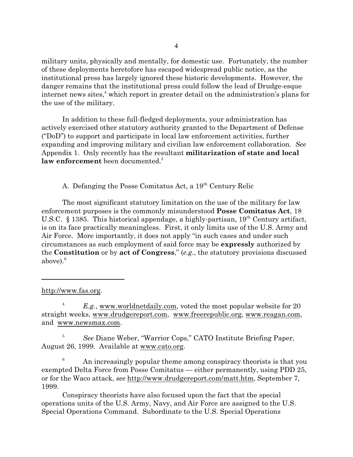military units, physically and mentally, for domestic use. Fortunately, the number of these deployments heretofore has escaped widespread public notice, as the institutional press has largely ignored these historic developments. However, the danger remains that the institutional press could follow the lead of Drudge-esque internet news sites,<sup>4</sup> which report in greater detail on the administration's plans for the use of the military.

In addition to these full-fledged deployments, your administration has actively exercised other statutory authority granted to the Department of Defense ("DoD") to support and participate in local law enforcement activities, further expanding and improving military and civilian law enforcement collaboration. *See* Appendix 1. Only recently has the resultant **militarization of state and local** law enforcement been documented.<sup>5</sup>

A. Defanging the Posse Comitatus Act, a 19th Century Relic

The most significant statutory limitation on the use of the military for law enforcement purposes is the commonly misunderstood **Posse Comitatus Act**, 18 U.S.C. § 1385. This historical appendage, a highly-partisan,  $19<sup>th</sup>$  Century artifact, is on its face practically meaningless. First, it only limits use of the U.S. Army and Air Force. More importantly, it does not apply "in such cases and under such circumstances as such employment of said force may be **expressly** authorized by the **Constitution** or by **act of Congress**," (*e.g.*, the statutory provisions discussed above $e^{6}$ 

http://www.fas.org.

<sup>4</sup> *E.g.*, www.worldnetdaily.com, voted the most popular website for 20 straight weeks, www.drudgereport.com, www.freerepublic.org, www.reagan.com, and www.newsmax.com.

<sup>5</sup> *See* Diane Weber, "Warrior Cops," CATO Institute Briefing Paper, August 26, 1999. Available at www.cato.org.

An increasingly popular theme among conspiracy theorists is that you exempted Delta Force from Posse Comitatus — either permanently, using PDD 25, or for the Waco attack, *see* http://www.drudgereport.com/matt.htm, September 7, 1999.

Conspiracy theorists have also focused upon the fact that the special operations units of the U.S. Army, Navy, and Air Force are assigned to the U.S. Special Operations Command. Subordinate to the U.S. Special Operations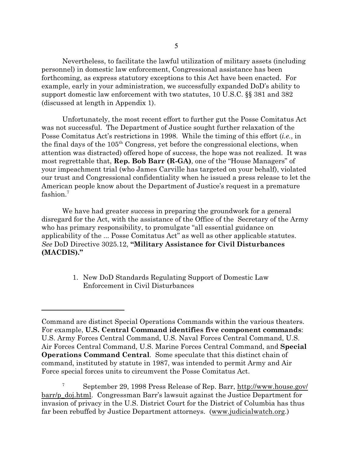Nevertheless, to facilitate the lawful utilization of military assets (including personnel) in domestic law enforcement, Congressional assistance has been forthcoming, as express statutory exceptions to this Act have been enacted. For example, early in your administration, we successfully expanded DoD's ability to support domestic law enforcement with two statutes, 10 U.S.C. §§ 381 and 382 (discussed at length in Appendix 1).

Unfortunately, the most recent effort to further gut the Posse Comitatus Act was not successful. The Department of Justice sought further relaxation of the Posse Comitatus Act's restrictions in 1998. While the timing of this effort (*i.e.*, in the final days of the 105<sup>th</sup> Congress, yet before the congressional elections, when attention was distracted) offered hope of success, the hope was not realized. It was most regrettable that, **Rep. Bob Barr (R-GA)**, one of the "House Managers" of your impeachment trial (who James Carville has targeted on your behalf), violated our trust and Congressional confidentiality when he issued a press release to let the American people know about the Department of Justice's request in a premature  $\mathrm{fashion.}^7$ 

We have had greater success in preparing the groundwork for a general disregard for the Act, with the assistance of the Office of the Secretary of the Army who has primary responsibility, to promulgate "all essential guidance on applicability of the ... Posse Comitatus Act" as well as other applicable statutes. *See* DoD Directive 3025.12, **"Military Assistance for Civil Disturbances (MACDIS)."**

> 1. New DoD Standards Regulating Support of Domestic Law Enforcement in Civil Disturbances

Command are distinct Special Operations Commands within the various theaters. For example, **U.S. Central Command identifies five component commands**: U.S. Army Forces Central Command, U.S. Naval Forces Central Command, U.S. Air Forces Central Command, U.S. Marine Forces Central Command, and **Special Operations Command Central**. Some speculate that this distinct chain of command, instituted by statute in 1987, was intended to permit Army and Air Force special forces units to circumvent the Posse Comitatus Act.

<sup>7</sup> September 29, 1998 Press Release of Rep. Barr, http://www.house.gov/ barr/p\_doj.html. Congressman Barr's lawsuit against the Justice Department for invasion of privacy in the U.S. District Court for the District of Columbia has thus far been rebuffed by Justice Department attorneys. (www.judicialwatch.org.)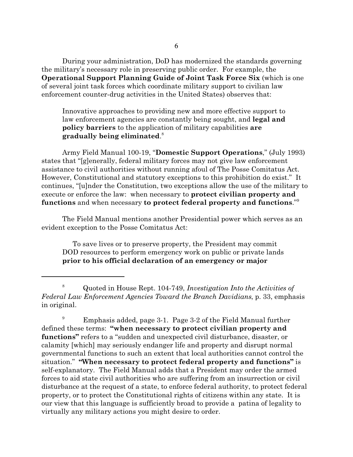During your administration, DoD has modernized the standards governing the military's necessary role in preserving public order. For example, the **Operational Support Planning Guide of Joint Task Force Six** (which is one of several joint task forces which coordinate military support to civilian law enforcement counter-drug activities in the United States) observes that:

Innovative approaches to providing new and more effective support to law enforcement agencies are constantly being sought, and **legal and policy barriers** to the application of military capabilities **are gradually being eliminated**. 8

Army Field Manual 100-19, "**Domestic Support Operations**," (July 1993) states that "[g]enerally, federal military forces may not give law enforcement assistance to civil authorities without running afoul of The Posse Comitatus Act. However, Constitutional and statutory exceptions to this prohibition do exist." It continues, "[u]nder the Constitution, two exceptions allow the use of the military to execute or enforce the law: when necessary to **protect civilian property and functions** and when necessary **to protect federal property and functions**."<sup>9</sup>

The Field Manual mentions another Presidential power which serves as an evident exception to the Posse Comitatus Act:

To save lives or to preserve property, the President may commit DOD resources to perform emergency work on public or private lands **prior to his official declaration of an emergency or major**

<sup>8</sup> Quoted in House Rept. 104-749, *Investigation Into the Activities of Federal Law Enforcement Agencies Toward the Branch Davidians*, p. 33, emphasis in original.

<sup>9</sup> Emphasis added, page 3-1. Page 3-2 of the Field Manual further defined these terms: **"when necessary to protect civilian property and functions"** refers to a "sudden and unexpected civil disturbance, disaster, or calamity [which] may seriously endanger life and property and disrupt normal governmental functions to such an extent that local authorities cannot control the situation." **"When necessary to protect federal property and functions"** is self-explanatory. The Field Manual adds that a President may order the armed forces to aid state civil authorities who are suffering from an insurrection or civil disturbance at the request of a state, to enforce federal authority, to protect federal property, or to protect the Constitutional rights of citizens within any state. It is our view that this language is sufficiently broad to provide a patina of legality to virtually any military actions you might desire to order.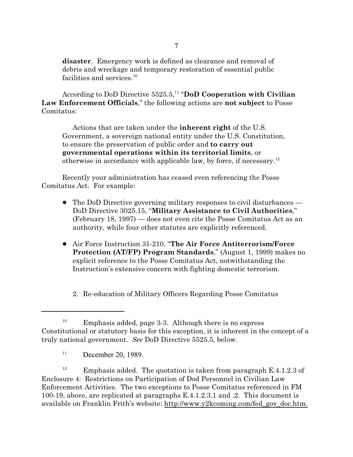**disaster**. Emergency work is defined as clearance and removal of debris and wreckage and temporary restoration of essential public facilities and services. $^{10}$ 

According to DoD Directive 5525.5,<sup>11</sup> "DoD Cooperation with Civilian **Law Enforcement Officials**," the following actions are **not subject** to Posse Comitatus:

Actions that are taken under the **inherent right** of the U.S. Government, a sovereign national entity under the U.S. Constitution, to ensure the preservation of public order and **to carry out governmental operations within its territorial limits**, or otherwise in accordance with applicable law, by force, if necessary.<sup>12</sup>

Recently your administration has ceased even referencing the Posse Comitatus Act. For example:

- The DoD Directive governing military responses to civil disturbances DoD Directive 3025.15, "**Military Assistance to Civil Authorities**," (February 18, 1997) — does not even cite the Posse Comitatus Act as an authority, while four other statutes are explicitly referenced.
- ! Air Force Instruction 31-210, "**The Air Force Antiterrorism/Force Protection (AT/FP) Program Standards**," (August 1, 1999) makes no explicit reference to the Posse Comitatus Act, notwithstanding the Instruction's extensive concern with fighting domestic terrorism.

2. Re-education of Military Officers Regarding Posse Comitatus

<sup>12</sup> Emphasis added. The quotation is taken from paragraph E.4.1.2.3 of Enclosure 4: Restrictions on Participation of Dod Personnel in Civilian Law Enforcement Activities. The two exceptions to Posse Comitatus referenced in FM 100-19, above, are replicated at paragraphs E.4.1.2.3.1 and .2. This document is available on Franklin Frith's website: http://www.y2kcoming.com/fed\_gov\_doc.htm.

<sup>&</sup>lt;sup>10</sup> Emphasis added, page 3-3. Although there is no express Constitutional or statutory basis for this exception, it is inherent in the concept of a truly national government. *See* DoD Directive 5525.5, below.

 $11$  December 20, 1989.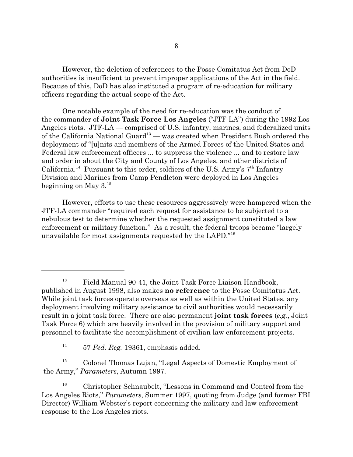However, the deletion of references to the Posse Comitatus Act from DoD authorities is insufficient to prevent improper applications of the Act in the field. Because of this, DoD has also instituted a program of re-education for military officers regarding the actual scope of the Act.

One notable example of the need for re-education was the conduct of the commander of **Joint Task Force Los Angeles** ("JTF-LA") during the 1992 Los Angeles riots. JTF-LA — comprised of U.S. infantry, marines, and federalized units of the California National Guard<sup>13</sup> — was created when President Bush ordered the deployment of "[u]nits and members of the Armed Forces of the United States and Federal law enforcement officers ... to suppress the violence ... and to restore law and order in about the City and County of Los Angeles, and other districts of California.<sup>14</sup> Pursuant to this order, soldiers of the U.S. Army's  $7<sup>th</sup>$  Infantry Division and Marines from Camp Pendleton were deployed in Los Angeles beginning on May  $3.^{15}$ 

However, efforts to use these resources aggressively were hampered when the JTF-LA commander "required each request for assistance to be subjected to a nebulous test to determine whether the requested assignment constituted a law enforcement or military function." As a result, the federal troops became "largely unavailable for most assignments requested by the LAPD."<sup>16</sup>

14 57 *Fed. Reg.* 19361, emphasis added.

<sup>15</sup> Colonel Thomas Lujan, "Legal Aspects of Domestic Employment of the Army," *Parameters*, Autumn 1997.

<sup>16</sup> Christopher Schnaubelt, "Lessons in Command and Control from the Los Angeles Riots," *Parameters*, Summer 1997, quoting from Judge (and former FBI Director) William Webster's report concerning the military and law enforcement response to the Los Angeles riots.

<sup>&</sup>lt;sup>13</sup> Field Manual 90-41, the Joint Task Force Liaison Handbook, published in August 1998, also makes **no reference** to the Posse Comitatus Act. While joint task forces operate overseas as well as within the United States, any deployment involving military assistance to civil authorities would necessarily result in a joint task force. There are also permanent **joint task forces** (*e.g.*, Joint Task Force 6) which are heavily involved in the provision of military support and personnel to facilitate the accomplishment of civilian law enforcement projects.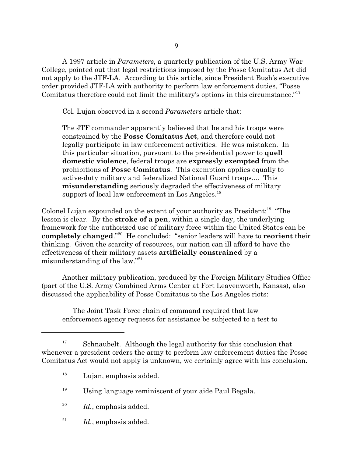A 1997 article in *Parameters*, a quarterly publication of the U.S. Army War College, pointed out that legal restrictions imposed by the Posse Comitatus Act did not apply to the JTF-LA. According to this article, since President Bush's executive order provided JTF-LA with authority to perform law enforcement duties, "Posse Comitatus therefore could not limit the military's options in this circumstance."<sup>17</sup>

Col. Lujan observed in a second *Parameters* article that:

The JTF commander apparently believed that he and his troops were constrained by the **Posse Comitatus Act**, and therefore could not legally participate in law enforcement activities. He was mistaken. In this particular situation, pursuant to the presidential power to **quell domestic violence**, federal troops are **expressly exempted** from the prohibitions of **Posse Comitatus**. This exemption applies equally to active-duty military and federalized National Guard troops.... This **misunderstanding** seriously degraded the effectiveness of military support of local law enforcement in Los Angeles. $^{18}$ 

Colonel Lujan expounded on the extent of your authority as President:<sup>19</sup> "The lesson is clear. By the **stroke of a pen**, within a single day, the underlying framework for the authorized use of military force within the United States can be completely changed."<sup>20</sup> He concluded: "senior leaders will have to reorient their thinking. Given the scarcity of resources, our nation can ill afford to have the effectiveness of their military assets **artificially constrained** by a misunderstanding of the law."<sup>21</sup>

Another military publication, produced by the Foreign Military Studies Office (part of the U.S. Army Combined Arms Center at Fort Leavenworth, Kansas), also discussed the applicability of Posse Comitatus to the Los Angeles riots:

The Joint Task Force chain of command required that law enforcement agency requests for assistance be subjected to a test to

- 20 *Id.*, emphasis added.
- 21 *Id.*, emphasis added.

 $17$  Schnaubelt. Although the legal authority for this conclusion that whenever a president orders the army to perform law enforcement duties the Posse Comitatus Act would not apply is unknown, we certainly agree with his conclusion.

<sup>&</sup>lt;sup>18</sup> Lujan, emphasis added.

 $^{19}$  Using language reminiscent of your aide Paul Begala.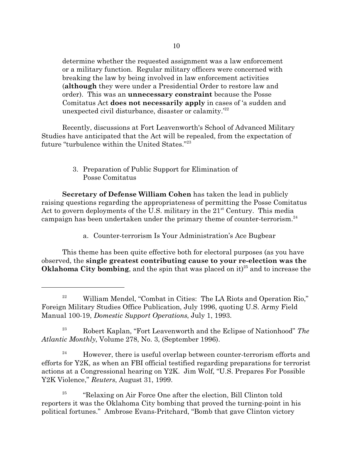determine whether the requested assignment was a law enforcement or a military function. Regular military officers were concerned with breaking the law by being involved in law enforcement activities (**although** they were under a Presidential Order to restore law and order). This was an **unnecessary constraint** because the Posse Comitatus Act **does not necessarily apply** in cases of 'a sudden and unexpected civil disturbance, disaster or calamity.'<sup>22</sup>

Recently, discussions at Fort Leavenworth's School of Advanced Military Studies have anticipated that the Act will be repealed, from the expectation of future "turbulence within the United States."<sup>23</sup>

> 3. Preparation of Public Support for Elimination of Posse Comitatus

**Secretary of Defense William Cohen** has taken the lead in publicly raising questions regarding the appropriateness of permitting the Posse Comitatus Act to govern deployments of the U.S. military in the 21<sup>st</sup> Century. This media campaign has been undertaken under the primary theme of counter-terrorism.<sup>24</sup>

a. Counter-terrorism Is Your Administration's Ace Bugbear

This theme has been quite effective both for electoral purposes (as you have observed, the **single greatest contributing cause to your re-election was the** Oklahoma City bombing, and the spin that was placed on it)<sup>25</sup> and to increase the

<sup>23</sup> Robert Kaplan, "Fort Leavenworth and the Eclipse of Nationhood" *The Atlantic Monthly*, Volume 278, No. 3, (September 1996).

 $24$  However, there is useful overlap between counter-terrorism efforts and efforts for Y2K, as when an FBI official testified regarding preparations for terrorist actions at a Congressional hearing on Y2K. Jim Wolf, "U.S. Prepares For Possible Y2K Violence," *Reuters*, August 31, 1999.

25 "Relaxing on Air Force One after the election, Bill Clinton told reporters it was the Oklahoma City bombing that proved the turning-point in his political fortunes." Ambrose Evans-Pritchard, "Bomb that gave Clinton victory

<sup>&</sup>lt;sup>22</sup> William Mendel, "Combat in Cities: The LA Riots and Operation Rio," Foreign Military Studies Office Publication, July 1996, quoting U.S. Army Field Manual 100-19, *Domestic Support Operations*, July 1, 1993.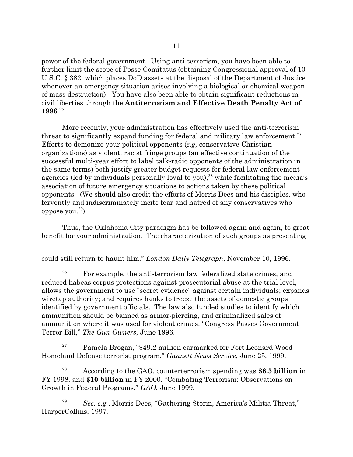power of the federal government. Using anti-terrorism, you have been able to further limit the scope of Posse Comitatus (obtaining Congressional approval of 10 U.S.C. § 382, which places DoD assets at the disposal of the Department of Justice whenever an emergency situation arises involving a biological or chemical weapon of mass destruction). You have also been able to obtain significant reductions in civil liberties through the **Antiterrorism and Effective Death Penalty Act of 1996**. 26

More recently, your administration has effectively used the anti-terrorism threat to significantly expand funding for federal and military law enforcement.<sup>27</sup> Efforts to demonize your political opponents (*e.g,* conservative Christian organizations) as violent, racist fringe groups (an effective continuation of the successful multi-year effort to label talk-radio opponents of the administration in the same terms) both justify greater budget requests for federal law enforcement agencies (led by individuals personally loyal to you), $^{28}$  while facilitating the media's association of future emergency situations to actions taken by these political opponents. (We should also credit the efforts of Morris Dees and his disciples, who fervently and indiscriminately incite fear and hatred of any conservatives who oppose you. $^{29})\,$ 

Thus, the Oklahoma City paradigm has be followed again and again, to great benefit for your administration. The characterization of such groups as presenting

could still return to haunt him," *London Daily Telegraph*, November 10, 1996.

<sup>26</sup> For example, the anti-terrorism law federalized state crimes, and reduced habeas corpus protections against prosecutorial abuse at the trial level, allows the government to use "secret evidence" against certain individuals; expands wiretap authority; and requires banks to freeze the assets of domestic groups identified by government officials. The law also funded studies to identify which ammunition should be banned as armor-piercing, and criminalized sales of ammunition where it was used for violent crimes. "Congress Passes Government Terror Bill," *The Gun Owners*, June 1996.

 $27$  Pamela Brogan, "\$49.2 million earmarked for Fort Leonard Wood Homeland Defense terrorist program," *Gannett News Service*, June 25, 1999.

<sup>28</sup> According to the GAO, counterterrorism spending was **\$6.5 billion** in FY 1998, and **\$10 billion** in FY 2000. "Combating Terrorism: Observations on Growth in Federal Programs," *GAO*, June 1999.

<sup>29</sup> *See, e.g.*, Morris Dees, "Gathering Storm, America's Militia Threat," HarperCollins, 1997.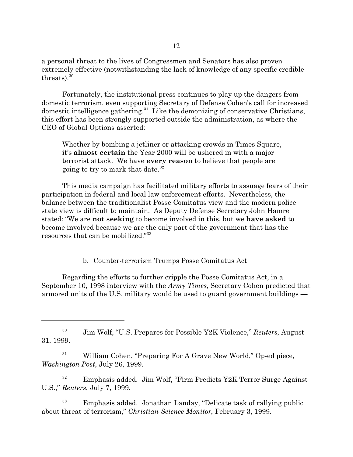a personal threat to the lives of Congressmen and Senators has also proven extremely effective (notwithstanding the lack of knowledge of any specific credible threats). $30<sup>30</sup>$ 

Fortunately, the institutional press continues to play up the dangers from domestic terrorism, even supporting Secretary of Defense Cohen's call for increased domestic intelligence gathering.<sup>31</sup> Like the demonizing of conservative Christians, this effort has been strongly supported outside the administration, as where the CEO of Global Options asserted:

Whether by bombing a jetliner or attacking crowds in Times Square, it's **almost certain** the Year 2000 will be ushered in with a major terrorist attack. We have **every reason** to believe that people are going to try to mark that date.<sup>32</sup>

This media campaign has facilitated military efforts to assuage fears of their participation in federal and local law enforcement efforts. Nevertheless, the balance between the traditionalist Posse Comitatus view and the modern police state view is difficult to maintain. As Deputy Defense Secretary John Hamre stated: "We are **not seeking** to become involved in this, but we **have asked** to become involved because we are the only part of the government that has the resources that can be mobilized."<sup>33</sup>

b. Counter-terrorism Trumps Posse Comitatus Act

Regarding the efforts to further cripple the Posse Comitatus Act, in a September 10, 1998 interview with the *Army Times*, Secretary Cohen predicted that armored units of the U.S. military would be used to guard government buildings —

30 Jim Wolf, "U.S. Prepares for Possible Y2K Violence," *Reuters*, August 31, 1999.

<sup>31</sup> William Cohen, "Preparing For A Grave New World," Op-ed piece, *Washington Post*, July 26, 1999.

 $32$  Emphasis added. Jim Wolf, "Firm Predicts Y2K Terror Surge Against U.S.," *Reuters*, July 7, 1999.

 $33$  Emphasis added. Jonathan Landay, "Delicate task of rallying public about threat of terrorism," *Christian Science Monitor*, February 3, 1999.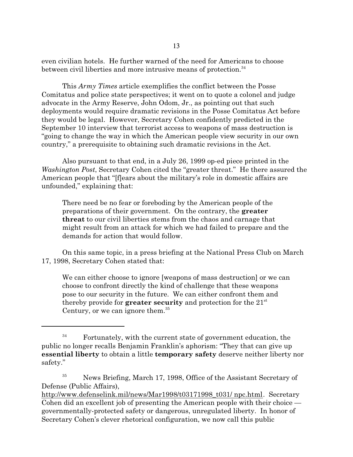even civilian hotels. He further warned of the need for Americans to choose between civil liberties and more intrusive means of protection.<sup>34</sup>

This *Army Times* article exemplifies the conflict between the Posse Comitatus and police state perspectives; it went on to quote a colonel and judge advocate in the Army Reserve, John Odom, Jr., as pointing out that such deployments would require dramatic revisions in the Posse Comitatus Act before they would be legal. However, Secretary Cohen confidently predicted in the September 10 interview that terrorist access to weapons of mass destruction is "going to change the way in which the American people view security in our own country," a prerequisite to obtaining such dramatic revisions in the Act.

Also pursuant to that end, in a July 26, 1999 op-ed piece printed in the *Washington Post*, Secretary Cohen cited the "greater threat." He there assured the American people that "[f]ears about the military's role in domestic affairs are unfounded," explaining that:

There need be no fear or foreboding by the American people of the preparations of their government. On the contrary, the **greater threat** to our civil liberties stems from the chaos and carnage that might result from an attack for which we had failed to prepare and the demands for action that would follow.

On this same topic, in a press briefing at the National Press Club on March 17, 1998, Secretary Cohen stated that:

We can either choose to ignore [weapons of mass destruction] or we can choose to confront directly the kind of challenge that these weapons pose to our security in the future. We can either confront them and thereby provide for **greater security** and protection for the  $21<sup>st</sup>$ Century, or we can ignore them. $35$ 

 $34$  Fortunately, with the current state of government education, the public no longer recalls Benjamin Franklin's aphorism: "They that can give up **essential liberty** to obtain a little **temporary safety** deserve neither liberty nor safety."

<sup>&</sup>lt;sup>35</sup> News Briefing, March 17, 1998, Office of the Assistant Secretary of Defense (Public Affairs),

http://www.defenselink.mil/news/Mar1998/t03171998\_t031/ npc.html. Secretary Cohen did an excellent job of presenting the American people with their choice governmentally-protected safety or dangerous, unregulated liberty. In honor of Secretary Cohen's clever rhetorical configuration, we now call this public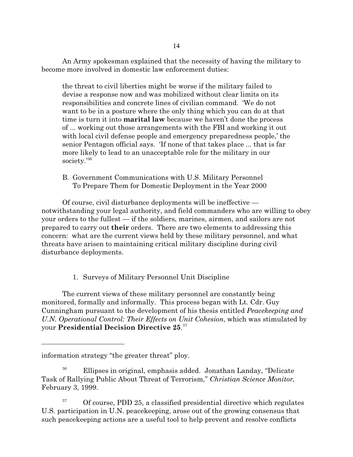An Army spokesman explained that the necessity of having the military to become more involved in domestic law enforcement duties:

the threat to civil liberties might be worse if the military failed to devise a response now and was mobilized without clear limits on its responsibilities and concrete lines of civilian command. 'We do not want to be in a posture where the only thing which you can do at that time is turn it into **marital law** because we haven't done the process of ... working out those arrangements with the FBI and working it out with local civil defense people and emergency preparedness people,' the senior Pentagon official says. 'If none of that takes place ... that is far more likely to lead to an unacceptable role for the military in our society.'<sup>36</sup>

B. Government Communications with U.S. Military Personnel To Prepare Them for Domestic Deployment in the Year 2000

Of course, civil disturbance deployments will be ineffective notwithstanding your legal authority, and field commanders who are willing to obey your orders to the fullest — if the soldiers, marines, airmen, and sailors are not prepared to carry out **their** orders. There are two elements to addressing this concern: what are the current views held by these military personnel, and what threats have arisen to maintaining critical military discipline during civil disturbance deployments.

1. Surveys of Military Personnel Unit Discipline

The current views of these military personnel are constantly being monitored, formally and informally. This process began with Lt. Cdr. Guy Cunningham pursuant to the development of his thesis entitled *Peacekeeping and U.N. Operational Control: Their Effects on Unit Cohesion*, which was stimulated by your **Presidential Decision Directive 25**. 37

information strategy "the greater threat" ploy.

<sup>&</sup>lt;sup>36</sup> Ellipses in original, emphasis added. Jonathan Landay, "Delicate" Task of Rallying Public About Threat of Terrorism," *Christian Science Monitor*, February 3, 1999.

 $37$  Of course, PDD 25, a classified presidential directive which regulates U.S. participation in U.N. peacekeeping, arose out of the growing consensus that such peacekeeping actions are a useful tool to help prevent and resolve conflicts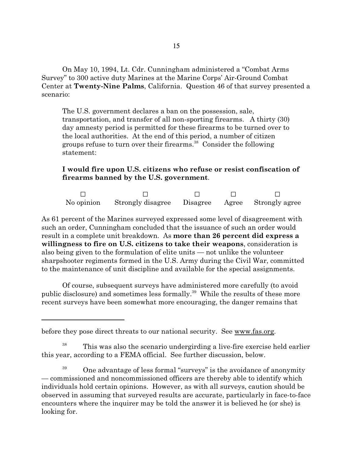On May 10, 1994, Lt. Cdr. Cunningham administered a "Combat Arms Survey" to 300 active duty Marines at the Marine Corps' Air-Ground Combat Center at **Twenty-Nine Palms**, California. Question 46 of that survey presented a scenario:

The U.S. government declares a ban on the possession, sale, transportation, and transfer of all non-sporting firearms. A thirty (30) day amnesty period is permitted for these firearms to be turned over to the local authorities. At the end of this period, a number of citizen groups refuse to turn over their firearms.<sup>38</sup> Consider the following statement:

# **I would fire upon U.S. citizens who refuse or resist confiscation of firearms banned by the U.S. government**.

G G G G G No opinion Strongly disagree Disagree Agree Strongly agree

As 61 percent of the Marines surveyed expressed some level of disagreement with such an order, Cunningham concluded that the issuance of such an order would result in a complete unit breakdown. As **more than 26 percent did express a willingness to fire on U.S. citizens to take their weapons**, consideration is also being given to the formulation of elite units — not unlike the volunteer sharpshooter regiments formed in the U.S. Army during the Civil War, committed to the maintenance of unit discipline and available for the special assignments.

Of course, subsequent surveys have administered more carefully (to avoid public disclosure) and sometimes less formally.<sup>39</sup> While the results of these more recent surveys have been somewhat more encouraging, the danger remains that

 $38$  This was also the scenario undergirding a live-fire exercise held earlier this year, according to a FEMA official. See further discussion, below.

 $39$  One advantage of less formal "surveys" is the avoidance of anonymity — commissioned and noncommissioned officers are thereby able to identify which individuals hold certain opinions. However, as with all surveys, caution should be observed in assuming that surveyed results are accurate, particularly in face-to-face encounters where the inquirer may be told the answer it is believed he (or she) is looking for.

before they pose direct threats to our national security. See www.fas.org.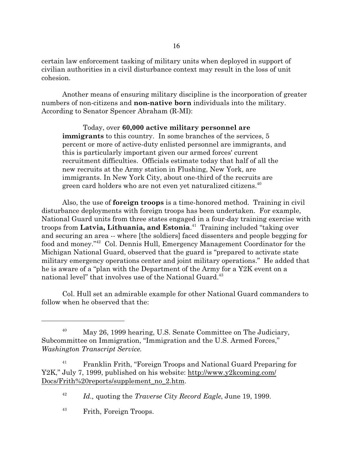certain law enforcement tasking of military units when deployed in support of civilian authorities in a civil disturbance context may result in the loss of unit cohesion.

Another means of ensuring military discipline is the incorporation of greater numbers of non-citizens and **non-native born** individuals into the military. According to Senator Spencer Abraham (R-MI):

Today, over **60,000 active military personnel are immigrants** to this country. In some branches of the services, 5 percent or more of active-duty enlisted personnel are immigrants, and this is particularly important given our armed forces' current recruitment difficulties. Officials estimate today that half of all the new recruits at the Army station in Flushing, New York, are immigrants. In New York City, about one-third of the recruits are green card holders who are not even yet naturalized citizens.<sup>40</sup>

Also, the use of **foreign troops** is a time-honored method. Training in civil disturbance deployments with foreign troops has been undertaken. For example, National Guard units from three states engaged in a four-day training exercise with troops from **Latvia, Lithuania, and Estonia**. 41 Training included "taking over and securing an area -- where [the soldiers] faced dissenters and people begging for food and money."<sup>42</sup> Col. Dennis Hull, Emergency Management Coordinator for the Michigan National Guard, observed that the guard is "prepared to activate state military emergency operations center and joint military operations." He added that he is aware of a "plan with the Department of the Army for a Y2K event on a national level" that involves use of the National Guard.<sup>43</sup>

Col. Hull set an admirable example for other National Guard commanders to follow when he observed that the:

<sup>&</sup>lt;sup>40</sup> May 26, 1999 hearing, U.S. Senate Committee on The Judiciary, Subcommittee on Immigration, "Immigration and the U.S. Armed Forces," *Washington Transcript Service*.

<sup>&</sup>lt;sup>41</sup> Franklin Frith, "Foreign Troops and National Guard Preparing for Y2K," July 7, 1999, published on his website: http://www.y2kcoming.com/ Docs/Frith%20reports/supplement\_no\_2.htm.

<sup>42</sup> *Id.,* quoting the *Traverse City Record Eagle*, June 19, 1999.

<sup>43</sup> Frith, Foreign Troops.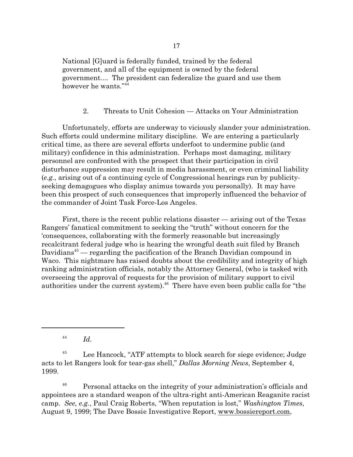National [G]uard is federally funded, trained by the federal government, and all of the equipment is owned by the federal government.... The president can federalize the guard and use them however he wants."<sup>44</sup>

## 2. Threats to Unit Cohesion — Attacks on Your Administration

Unfortunately, efforts are underway to viciously slander your administration. Such efforts could undermine military discipline. We are entering a particularly critical time, as there are several efforts underfoot to undermine public (and military) confidence in this administration. Perhaps most damaging, military personnel are confronted with the prospect that their participation in civil disturbance suppression may result in media harassment, or even criminal liability (*e.g.*, arising out of a continuing cycle of Congressional hearings run by publicityseeking demagogues who display animus towards you personally). It may have been this prospect of such consequences that improperly influenced the behavior of the commander of Joint Task Force-Los Angeles.

First, there is the recent public relations disaster — arising out of the Texas Rangers' fanatical commitment to seeking the "truth" without concern for the 'consequences, collaborating with the formerly reasonable but increasingly recalcitrant federal judge who is hearing the wrongful death suit filed by Branch Davidians<sup>45</sup> — regarding the pacification of the Branch Davidian compound in Waco. This nightmare has raised doubts about the credibility and integrity of high ranking administration officials, notably the Attorney General, (who is tasked with overseeing the approval of requests for the provision of military support to civil authorities under the current system).<sup>46</sup> There have even been public calls for "the

44 *Id.*

<sup>46</sup> Personal attacks on the integrity of your administration's officials and appointees are a standard weapon of the ultra-right anti-American Reaganite racist camp. *See, e.g.*, Paul Craig Roberts, "When reputation is lost," *Washington Times*, August 9, 1999; The Dave Bossie Investigative Report, www.bossiereport.com,

<sup>&</sup>lt;sup>45</sup> Lee Hancock, "ATF attempts to block search for siege evidence; Judge acts to let Rangers look for tear-gas shell," *Dallas Morning News*, September 4, 1999.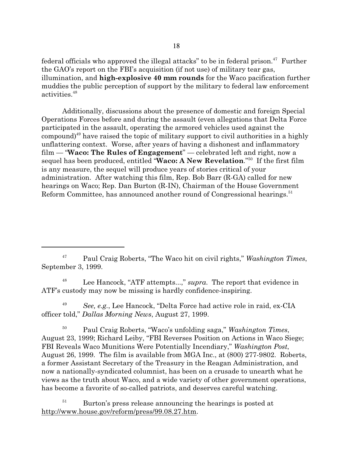federal officials who approved the illegal attacks" to be in federal prison.<sup>47</sup> Further the GAO's report on the FBI's acquisition (if not use) of military tear gas, illumination, and **high-explosive 40 mm rounds** for the Waco pacification further muddies the public perception of support by the military to federal law enforcement activities.<sup>48</sup>

Additionally, discussions about the presence of domestic and foreign Special Operations Forces before and during the assault (even allegations that Delta Force participated in the assault, operating the armored vehicles used against the compound) $49$  have raised the topic of military support to civil authorities in a highly unflattering context. Worse, after years of having a dishonest and inflammatory film — "**Waco: The Rules of Engagement**" — celebrated left and right, now a sequel has been produced, entitled "**Waco: A New Revelation**."<sup>50</sup> If the first film is any measure, the sequel will produce years of stories critical of your administration. After watching this film, Rep. Bob Barr (R-GA) called for new hearings on Waco; Rep. Dan Burton (R-IN), Chairman of the House Government Reform Committee, has announced another round of Congressional hearings.<sup>51</sup>

<sup>47</sup> Paul Craig Roberts, "The Waco hit on civil rights," *Washington Times*, September 3, 1999.

<sup>48</sup> Lee Hancock, "ATF attempts...," *supra*. The report that evidence in ATF's custody may now be missing is hardly confidence-inspiring.

<sup>49</sup> *See, e.g.*, Lee Hancock, "Delta Force had active role in raid, ex-CIA officer told," *Dallas Morning News*, August 27, 1999.

<sup>50</sup> Paul Craig Roberts, "Waco's unfolding saga," *Washington Times*, August 23, 1999; Richard Leiby, "FBI Reverses Position on Actions in Waco Siege; FBI Reveals Waco Munitions Were Potentially Incendiary," *Washington Post*, August 26, 1999. The film is available from MGA Inc., at (800) 277-9802. Roberts, a former Assistant Secretary of the Treasury in the Reagan Administration, and now a nationally-syndicated columnist, has been on a crusade to unearth what he views as the truth about Waco, and a wide variety of other government operations, has become a favorite of so-called patriots, and deserves careful watching.

 $51$  Burton's press release announcing the hearings is posted at http://www.house.gov/reform/press/99.08.27.htm.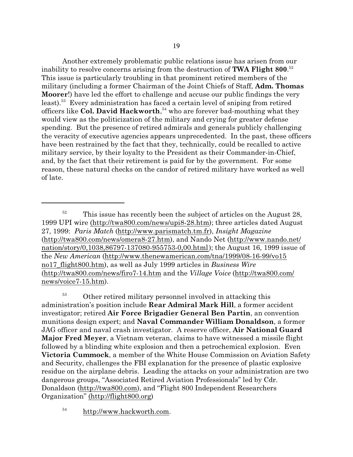Another extremely problematic public relations issue has arisen from our inability to resolve concerns arising from the destruction of **TWA Flight 800**. 52 This issue is particularly troubling in that prominent retired members of the military (including a former Chairman of the Joint Chiefs of Staff, **Adm. Thomas Moorer**!) have led the effort to challenge and accuse our public findings the very least).<sup>53</sup> Every administration has faced a certain level of sniping from retired officers like **Col. David Hackworth**, 54 who are forever bad-mouthing what they would view as the politicization of the military and crying for greater defense spending. But the presence of retired admirals and generals publicly challenging the veracity of executive agencies appears unprecedented. In the past, these officers have been restrained by the fact that they, technically, could be recalled to active military service, by their loyalty to the President as their Commander-in-Chief, and, by the fact that their retirement is paid for by the government. For some reason, these natural checks on the candor of retired military have worked as well of late.

<sup>53</sup> Other retired military personnel involved in attacking this administration's position include **Rear Admiral Mark Hill**, a former accident investigator; retired **Air Force Brigadier General Ben Partin**, an convention munitions design expert; and **Naval Commander William Donaldson**, a former JAG officer and naval crash investigator. A reserve officer, **Air National Guard Major Fred Meyer**, a Vietnam veteran, claims to have witnessed a missile flight followed by a blinding white explosion and then a petrochemical explosion. Even **Victoria Cummock**, a member of the White House Commission on Aviation Safety and Security, challenges the FBI explanation for the presence of plastic explosive residue on the airplane debris. Leading the attacks on your administration are two dangerous groups, "Associated Retired Aviation Professionals" led by Cdr. Donaldson (http://twa800.com), and "Flight 800 Independent Researchers Organization" (http://flight800.org)

<sup>54</sup> http://www.hackworth.com.

 $52$  This issue has recently been the subject of articles on the August 28, 1999 UPI wire (http://twa800.com/news/upi8-28.htm); three articles dated August 27, 1999: *Paris Match* (http://www.parismatch.tm.fr), *Insight Magazine* (http://twa800.com/news/omera8-27.htm), and Nando Net (http://www.nando.net/ nation/story/0,1038,86797-137080-955753-0,00.html); the August 16, 1999 issue of the *New American* (http://www.thenewamerican.com/tna/1999/08-16-99/vo15 no17\_flight800.htm), as well as July 1999 articles in *Business Wire* (http://twa800.com/news/firo7-14.htm and the *Village Voice* (http://twa800.com/ news/voice7-15.htm).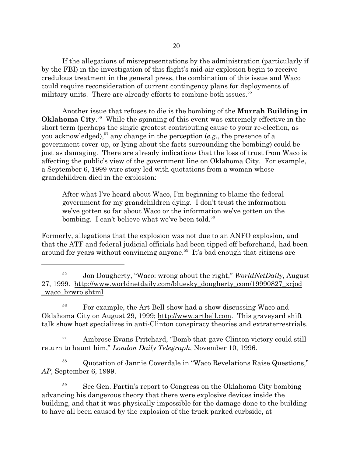If the allegations of misrepresentations by the administration (particularly if by the FBI) in the investigation of this flight's mid-air explosion begin to receive credulous treatment in the general press, the combination of this issue and Waco could require reconsideration of current contingency plans for deployments of military units. There are already efforts to combine both issues.<sup>55</sup>

Another issue that refuses to die is the bombing of the **Murrah Building in Oklahoma City**. <sup>56</sup> While the spinning of this event was extremely effective in the short term (perhaps the single greatest contributing cause to your re-election, as you acknowledged),<sup>57</sup> any change in the perception (*e.g.*, the presence of a government cover-up, or lying about the facts surrounding the bombing) could be just as damaging. There are already indications that the loss of trust from Waco is affecting the public's view of the government line on Oklahoma City. For example, a September 6, 1999 wire story led with quotations from a woman whose grandchildren died in the explosion:

After what I've heard about Waco, I'm beginning to blame the federal government for my grandchildren dying. I don't trust the information we've gotten so far about Waco or the information we've gotten on the bombing. I can't believe what we've been told.<sup>58</sup>

Formerly, allegations that the explosion was not due to an ANFO explosion, and that the ATF and federal judicial officials had been tipped off beforehand, had been around for years without convincing anyone.<sup>59</sup> It's bad enough that citizens are

<sup>56</sup> For example, the Art Bell show had a show discussing Waco and Oklahoma City on August 29, 1999; http://www.artbell.com. This graveyard shift talk show host specializes in anti-Clinton conspiracy theories and extraterrestrials.

<sup>57</sup> Ambrose Evans-Pritchard, "Bomb that gave Clinton victory could still return to haunt him," *London Daily Telegraph*, November 10, 1996.

<sup>58</sup> Quotation of Jannie Coverdale in "Waco Revelations Raise Questions," *AP*, September 6, 1999.

 $59$  See Gen. Partin's report to Congress on the Oklahoma City bombing advancing his dangerous theory that there were explosive devices inside the building, and that it was physically impossible for the damage done to the building to have all been caused by the explosion of the truck parked curbside, at

<sup>55</sup> Jon Dougherty, "Waco: wrong about the right," *WorldNetDaily*, August 27, 1999. http://www.worldnetdaily.com/bluesky\_dougherty\_com/19990827\_xcjod \_waco\_brwro.shtml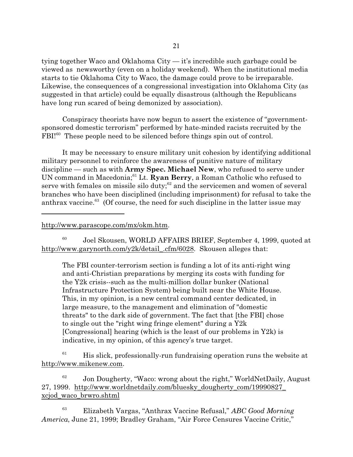tying together Waco and Oklahoma City — it's incredible such garbage could be viewed as newsworthy (even on a holiday weekend). When the institutional media starts to tie Oklahoma City to Waco, the damage could prove to be irreparable. Likewise, the consequences of a congressional investigation into Oklahoma City (as suggested in that article) could be equally disastrous (although the Republicans have long run scared of being demonized by association).

Conspiracy theorists have now begun to assert the existence of "governmentsponsored domestic terrorism" performed by hate-minded racists recruited by the FBI!<sup>60</sup> These people need to be silenced before things spin out of control.

It may be necessary to ensure military unit cohesion by identifying additional military personnel to reinforce the awareness of punitive nature of military discipline — such as with **Army Spec. Michael New**, who refused to serve under UN command in Macedonia;<sup>61</sup> Lt. **Ryan Berry**, a Roman Catholic who refused to serve with females on missile silo duty; $^{62}$  and the servicemen and women of several branches who have been disciplined (including imprisonment) for refusal to take the anthrax vaccine.<sup>63</sup> (Of course, the need for such discipline in the latter issue may

http://www.parascope.com/mx/okm.htm.

60 Joel Skousen, WORLD AFFAIRS BRIEF, September 4, 1999, quoted at http://www.garynorth.com/y2k/detail\_.cfm/6028. Skousen alleges that:

The FBI counter-terrorism section is funding a lot of its anti-right wing and anti-Christian preparations by merging its costs with funding for the Y2k crisis--such as the multi-million dollar bunker (National Infrastructure Protection System) being built near the White House. This, in my opinion, is a new central command center dedicated, in large measure, to the management and elimination of "domestic threats" to the dark side of government. The fact that [the FBI] chose to single out the "right wing fringe element" during a Y2k [Congressional] hearing (which is the least of our problems in Y2k) is indicative, in my opinion, of this agency's true target.

 $61$  His slick, professionally-run fundraising operation runs the website at http://www.mikenew.com.

62 Jon Dougherty, "Waco: wrong about the right," WorldNetDaily, August 27, 1999. http://www.worldnetdaily.com/bluesky\_dougherty\_com/19990827\_ xcjod\_waco\_brwro.shtml

<sup>63</sup> Elizabeth Vargas, "Anthrax Vaccine Refusal," *ABC Good Morning America*, June 21, 1999; Bradley Graham, "Air Force Censures Vaccine Critic,"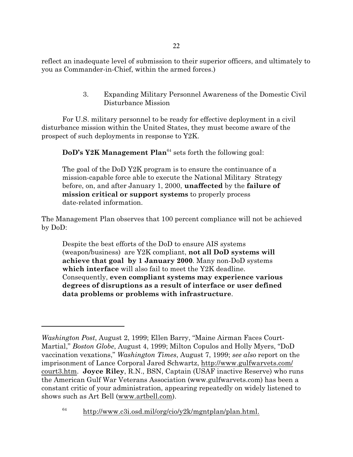reflect an inadequate level of submission to their superior officers, and ultimately to you as Commander-in-Chief, within the armed forces.)

> 3. Expanding Military Personnel Awareness of the Domestic Civil Disturbance Mission

For U.S. military personnel to be ready for effective deployment in a civil disturbance mission within the United States, they must become aware of the prospect of such deployments in response to Y2K.

**DoD's Y2K Management Plan**<sup>64</sup> sets forth the following goal:

The goal of the DoD Y2K program is to ensure the continuance of a mission-capable force able to execute the National Military Strategy before, on, and after January 1, 2000, **unaffected** by the **failure of mission critical or support systems** to properly process date-related information.

The Management Plan observes that 100 percent compliance will not be achieved by DoD:

Despite the best efforts of the DoD to ensure AIS systems (weapon/business) are Y2K compliant, **not all DoD systems will achieve that goal by 1 January 2000**. Many non-DoD systems **which interface** will also fail to meet the Y2K deadline. Consequently, **even compliant systems may experience various degrees of disruptions as a result of interface or user defined data problems or problems with infrastructure**.

*Washington Post*, August 2, 1999; Ellen Barry, "Maine Airman Faces Court-Martial," *Boston Globe*, August 4, 1999; Milton Copulos and Holly Myers, "DoD vaccination vexations," *Washington Times*, August 7, 1999; *see also* report on the imprisonment of Lance Corporal Jared Schwartz, http://www.gulfwarvets.com/ court3.htm. **Joyce Riley**, R.N., BSN, Captain (USAF inactive Reserve) who runs the American Gulf War Veterans Association (www.gulfwarvets.com) has been a constant critic of your administration, appearing repeatedly on widely listened to shows such as Art Bell (www.artbell.com).

<sup>64</sup> http://www.c3i.osd.mil/org/cio/y2k/mgntplan/plan.html.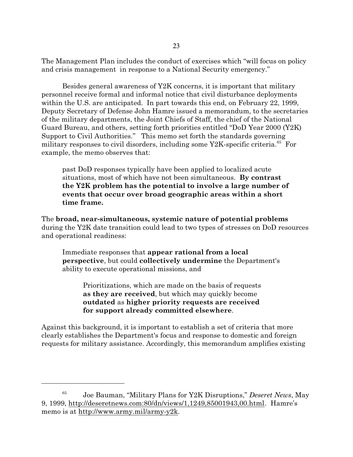The Management Plan includes the conduct of exercises which "will focus on policy and crisis management in response to a National Security emergency."

Besides general awareness of Y2K concerns, it is important that military personnel receive formal and informal notice that civil disturbance deployments within the U.S. are anticipated. In part towards this end, on February 22, 1999, Deputy Secretary of Defense John Hamre issued a memorandum, to the secretaries of the military departments, the Joint Chiefs of Staff, the chief of the National Guard Bureau, and others, setting forth priorities entitled "DoD Year 2000 (Y2K) Support to Civil Authorities." This memo set forth the standards governing military responses to civil disorders, including some Y2K-specific criteria.<sup>65</sup> For example, the memo observes that:

past DoD responses typically have been applied to localized acute situations, most of which have not been simultaneous. **By contrast the Y2K problem has the potential to involve a large number of events that occur over broad geographic areas within a short time frame.**

The **broad, near-simultaneous, systemic nature of potential problems** during the Y2K date transition could lead to two types of stresses on DoD resources and operational readiness:

Immediate responses that **appear rational from a local perspective**, but could **collectively undermine** the Department's ability to execute operational missions, and

Prioritizations, which are made on the basis of requests **as they are received**, but which may quickly become **outdated** as **higher priority requests are received for support already committed elsewhere**.

Against this background, it is important to establish a set of criteria that more clearly establishes the Department's focus and response to domestic and foreign requests for military assistance. Accordingly, this memorandum amplifies existing

<sup>65</sup> Joe Bauman, "Military Plans for Y2K Disruptions," *Deseret News*, May 9, 1999, http://deseretnews.com:80/dn/views/1,1249,85001943,00.html. Hamre's memo is at http://www.army.mil/army-y2k.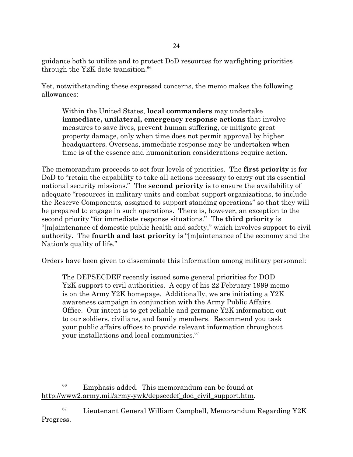guidance both to utilize and to protect DoD resources for warfighting priorities through the Y2K date transition. $66$ 

Yet, notwithstanding these expressed concerns, the memo makes the following allowances:

Within the United States, **local commanders** may undertake **immediate, unilateral, emergency response actions** that involve measures to save lives, prevent human suffering, or mitigate great property damage, only when time does not permit approval by higher headquarters. Overseas, immediate response may be undertaken when time is of the essence and humanitarian considerations require action.

The memorandum proceeds to set four levels of priorities. The **first priority** is for DoD to "retain the capability to take all actions necessary to carry out its essential national security missions." The **second priority** is to ensure the availability of adequate "resources in military units and combat support organizations, to include the Reserve Components, assigned to support standing operations" so that they will be prepared to engage in such operations. There is, however, an exception to the second priority "for immediate response situations." The **third priority** is "[m]aintenance of domestic public health and safety," which involves support to civil authority. The **fourth and last priority** is "[m]aintenance of the economy and the Nation's quality of life."

Orders have been given to disseminate this information among military personnel:

The DEPSECDEF recently issued some general priorities for DOD Y2K support to civil authorities. A copy of his 22 February 1999 memo is on the Army Y2K homepage. Additionally, we are initiating a Y2K awareness campaign in conjunction with the Army Public Affairs Office. Our intent is to get reliable and germane Y2K information out to our soldiers, civilians, and family members. Recommend you task your public affairs offices to provide relevant information throughout your installations and local communities.<sup>67</sup>

 $^{66}$  Emphasis added. This memorandum can be found at http://www2.army.mil/army-ywk/depsecdef dod civil support.htm.

 $^{67}$  Lieutenant General William Campbell, Memorandum Regarding Y2K Progress.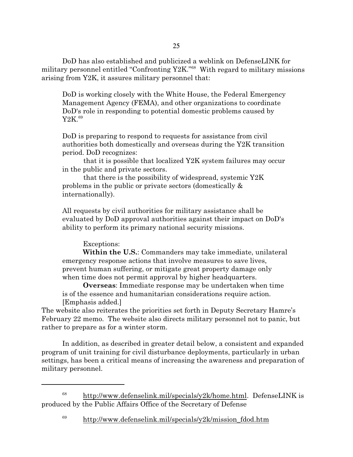25

DoD has also established and publicized a weblink on DefenseLINK for military personnel entitled "Confronting Y2K."<sup>68</sup> With regard to military missions arising from Y2K, it assures military personnel that:

DoD is working closely with the White House, the Federal Emergency Management Agency (FEMA), and other organizations to coordinate DoD's role in responding to potential domestic problems caused by Y<sub>2</sub>K.<sup>69</sup>

DoD is preparing to respond to requests for assistance from civil authorities both domestically and overseas during the Y2K transition period. DoD recognizes:

 that it is possible that localized Y2K system failures may occur in the public and private sectors.

 that there is the possibility of widespread, systemic Y2K problems in the public or private sectors (domestically & internationally).

All requests by civil authorities for military assistance shall be evaluated by DoD approval authorities against their impact on DoD's ability to perform its primary national security missions.

## Exceptions:

**Within the U.S.**: Commanders may take immediate, unilateral emergency response actions that involve measures to save lives, prevent human suffering, or mitigate great property damage only when time does not permit approval by higher headquarters.

**Overseas**: Immediate response may be undertaken when time is of the essence and humanitarian considerations require action. [Emphasis added.]

The website also reiterates the priorities set forth in Deputy Secretary Hamre's February 22 memo. The website also directs military personnel not to panic, but rather to prepare as for a winter storm.

In addition, as described in greater detail below, a consistent and expanded program of unit training for civil disturbance deployments, particularly in urban settings, has been a critical means of increasing the awareness and preparation of military personnel.

 $^{68}$  http://www.defenselink.mil/specials/y2k/home.html. DefenseLINK is produced by the Public Affairs Office of the Secretary of Defense

 $^{69}$  http://www.defenselink.mil/specials/y2k/mission\_fdod.htm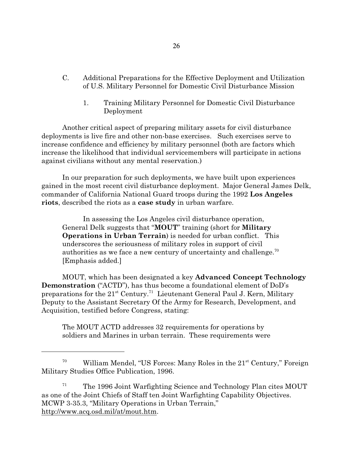- C. Additional Preparations for the Effective Deployment and Utilization of U.S. Military Personnel for Domestic Civil Disturbance Mission
	- 1. Training Military Personnel for Domestic Civil Disturbance Deployment

Another critical aspect of preparing military assets for civil disturbance deployments is live fire and other non-base exercises. Such exercises serve to increase confidence and efficiency by military personnel (both are factors which increase the likelihood that individual servicemembers will participate in actions against civilians without any mental reservation.)

In our preparation for such deployments, we have built upon experiences gained in the most recent civil disturbance deployment. Major General James Delk, commander of California National Guard troops during the 1992 **Los Angeles riots**, described the riots as a **case study** in urban warfare.

In assessing the Los Angeles civil disturbance operation, General Delk suggests that "**MOUT**" training (short for **Military Operations in Urban Terrain**) is needed for urban conflict. This underscores the seriousness of military roles in support of civil authorities as we face a new century of uncertainty and challenge.<sup>70</sup> [Emphasis added.]

MOUT, which has been designated a key **Advanced Concept Technology Demonstration** ("ACTD"), has thus become a foundational element of DoD's preparations for the 21<sup>st</sup> Century.<sup>71</sup> Lieutenant General Paul J. Kern, Military Deputy to the Assistant Secretary Of the Army for Research, Development, and Acquisition, testified before Congress, stating:

The MOUT ACTD addresses 32 requirements for operations by soldiers and Marines in urban terrain. These requirements were

 $71$  The 1996 Joint Warfighting Science and Technology Plan cites MOUT as one of the Joint Chiefs of Staff ten Joint Warfighting Capability Objectives. MCWP 3-35.3, "Military Operations in Urban Terrain," http://www.acq.osd.mil/at/mout.htm.

<sup>&</sup>lt;sup>70</sup> William Mendel, "US Forces: Many Roles in the  $21<sup>st</sup>$  Century," Foreign Military Studies Office Publication, 1996.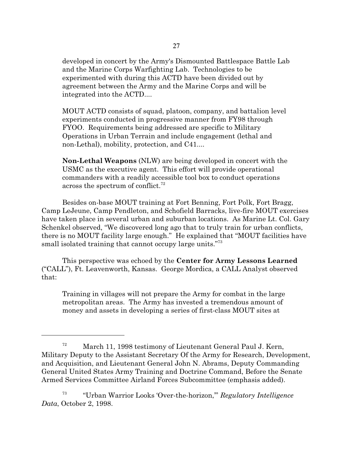developed in concert by the Army's Dismounted Battlespace Battle Lab and the Marine Corps Warfighting Lab. Technologies to be experimented with during this ACTD have been divided out by agreement between the Army and the Marine Corps and will be integrated into the ACTD....

MOUT ACTD consists of squad, platoon, company, and battalion level experiments conducted in progressive manner from FY98 through FYOO. Requirements being addressed are specific to Military Operations in Urban Terrain and include engagement (lethal and non-Lethal), mobility, protection, and C41....

**Non-Lethal Weapons** (NLW) are being developed in concert with the USMC as the executive agent. This effort will provide operational commanders with a readily accessible tool box to conduct operations across the spectrum of conflict.<sup>72</sup>

Besides on-base MOUT training at Fort Benning, Fort Polk, Fort Bragg, Camp LeJeune, Camp Pendleton, and Schofield Barracks, live-fire MOUT exercises have taken place in several urban and suburban locations. As Marine Lt. Col. Gary Schenkel observed, "We discovered long ago that to truly train for urban conflicts, there is no MOUT facility large enough." He explained that "MOUT facilities have small isolated training that cannot occupy large units."<sup>73</sup>

This perspective was echoed by the **Center for Army Lessons Learned** ("CALL"), Ft. Leavenworth, Kansas. George Mordica, a CALL Analyst observed that:

Training in villages will not prepare the Army for combat in the large metropolitan areas. The Army has invested a tremendous amount of money and assets in developing a series of first-class MOUT sites at

 $72$  March 11, 1998 testimony of Lieutenant General Paul J. Kern, Military Deputy to the Assistant Secretary Of the Army for Research, Development, and Acquisition, and Lieutenant General John N. Abrams, Deputy Commanding General United States Army Training and Doctrine Command, Before the Senate Armed Services Committee Airland Forces Subcommittee (emphasis added).

<sup>73</sup> "Urban Warrior Looks 'Over-the-horizon,'" *Regulatory Intelligence Data*, October 2, 1998.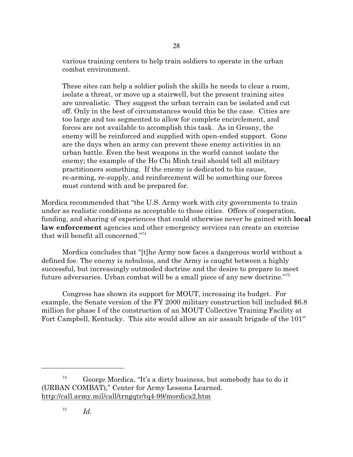various training centers to help train soldiers to operate in the urban combat environment.

These sites can help a soldier polish the skills he needs to clear a room, isolate a threat, or move up a stairwell, but the present training sites are unrealistic. They suggest the urban terrain can be isolated and cut off. Only in the best of circumstances would this be the case. Cities are too large and too segmented to allow for complete encirclement, and forces are not available to accomplish this task. As in Grosny, the enemy will be reinforced and supplied with open-ended support. Gone are the days when an army can prevent these enemy activities in an urban battle. Even the best weapons in the world cannot isolate the enemy; the example of the Ho Chi Minh trail should tell all military practitioners something. If the enemy is dedicated to his cause, re-arming, re-supply, and reinforcement will be something our forces must contend with and be prepared for.

Mordica recommended that "the U.S. Army work with city governments to train under as realistic conditions as acceptable to those cities. Offers of cooperation, funding, and sharing of experiences that could otherwise never be gained with **local law enforcement** agencies and other emergency services can create an exercise that will benefit all concerned."<sup>74</sup>

Mordica concludes that "[t]he Army now faces a dangerous world without a defined foe. The enemy is nebulous, and the Army is caught between a highly successful, but increasingly outmoded doctrine and the desire to prepare to meet future adversaries. Urban combat will be a small piece of any new doctrine."<sup>75</sup>

Congress has shown its support for MOUT, increasing its budget. For example, the Senate version of the FY 2000 military construction bill included \$6.8 million for phase I of the construction of an MOUT Collective Training Facility at Fort Campbell, Kentucky. This site would allow an air assault brigade of the  $101<sup>st</sup>$ 

 $74$  George Mordica, "It's a dirty business, but somebody has to do it (URBAN COMBAT)," Center for Army Lessons Learned. http://call.army.mil/call/trngqtr/tq4-99/mordica2.htm

<sup>75</sup> *Id.*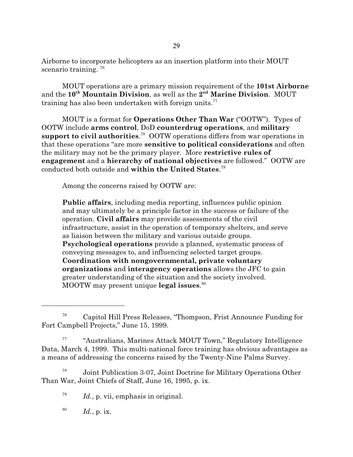Airborne to incorporate helicopters as an insertion platform into their MOUT scenario training.<sup>76</sup>

MOUT operations are a primary mission requirement of the **101st Airborne** and the **10th Mountain Division**, as well as the **2 nd Marine Division**. MOUT training has also been undertaken with foreign units. $77$ 

MOUT is a format for **Operations Other Than War** ("OOTW"). Types of OOTW include **arms control**, DoD **counterdrug operations**, and **military support to civil authorities**. <sup>78</sup> OOTW operations differs from war operations in that these operations "are more **sensitive to political considerations** and often the military may not be the primary player. More **restrictive rules of engagement** and a **hierarchy of national objectives** are followed." OOTW are conducted both outside and **within the United States**. 79

Among the concerns raised by OOTW are:

**Public affairs**, including media reporting, influences public opinion and may ultimately be a principle factor in the success or failure of the operation. **Civil affairs** may provide assessments of the civil infrastructure, assist in the operation of temporary shelters, and serve as liaison between the military and various outside groups. **Psychological operations** provide a planned, systematic process of conveying messages to, and influencing selected target groups. **Coordination with nongovernmental, private voluntary organizations** and **interagency operations** allows the JFC to gain greater understanding of the situation and the society involved. MOOTW may present unique **legal issues**. 80

78 Joint Publication 3-07, Joint Doctrine for Military Operations Other Than War, Joint Chiefs of Staff, June 16, 1995, p. ix.

79 Id., p. vii, emphasis in original.

80 *Id.*, p. ix.

<sup>76</sup> Capitol Hill Press Releases, "Thompson, Frist Announce Funding for Fort Campbell Projects," June 15, 1999.

<sup>77</sup> "Australians, Marines Attack MOUT Town," Regulatory Intelligence Data, March 4, 1999. This multi-national force training has obvious advantages as a means of addressing the concerns raised by the Twenty-Nine Palms Survey.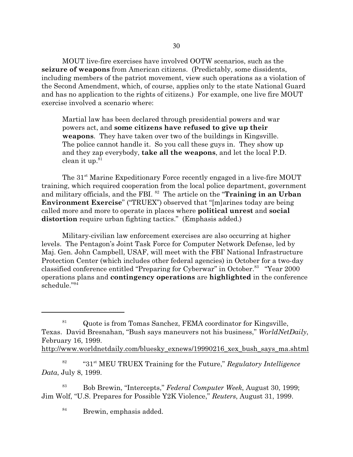MOUT live-fire exercises have involved OOTW scenarios, such as the **seizure of weapons** from American citizens. (Predictably, some dissidents, including members of the patriot movement, view such operations as a violation of the Second Amendment, which, of course, applies only to the state National Guard and has no application to the rights of citizens.) For example, one live fire MOUT exercise involved a scenario where:

Martial law has been declared through presidential powers and war powers act, and **some citizens have refused to give up their weapons**. They have taken over two of the buildings in Kingsville. The police cannot handle it. So you call these guys in. They show up and they zap everybody, **take all the weapons**, and let the local P.D.  $clean$  it up. $81$ 

The 31<sup>st</sup> Marine Expeditionary Force recently engaged in a live-fire MOUT training, which required cooperation from the local police department, government and military officials, and the FBI. <sup>82</sup> The article on the "**Training in an Urban Environment Exercise**" ("TRUEX") observed that "[m]arines today are being called more and more to operate in places where **political unrest** and **social distortion** require urban fighting tactics." (Emphasis added.)

Military-civilian law enforcement exercises are also occurring at higher levels. The Pentagon's Joint Task Force for Computer Network Defense, led by Maj. Gen. John Campbell, USAF, will meet with the FBI' National Infrastructure Protection Center (which includes other federal agencies) in October for a two-day classified conference entitled "Preparing for Cyberwar" in October.<sup>83</sup> "Year 2000" operations plans and **contingency operations** are **highlighted** in the conference schedule."<sup>84</sup>

<sup>83</sup> Bob Brewin, "Intercepts," *Federal Computer Week*, August 30, 1999; Jim Wolf, "U.S. Prepares for Possible Y2K Violence," *Reuters*, August 31, 1999.

<sup>84</sup> Brewin, emphasis added.

<sup>&</sup>lt;sup>81</sup> Quote is from Tomas Sanchez, FEMA coordinator for Kingsville, Texas. David Bresnahan, "Bush says maneuvers not his business," *WorldNetDaily*, February 16, 1999. http://www.worldnetdaily.com/bluesky\_exnews/19990216\_xex\_bush\_says\_ma.shtml

<sup>82</sup> "31st MEU TRUEX Training for the Future," *Regulatory Intelligence Data*, July 8, 1999.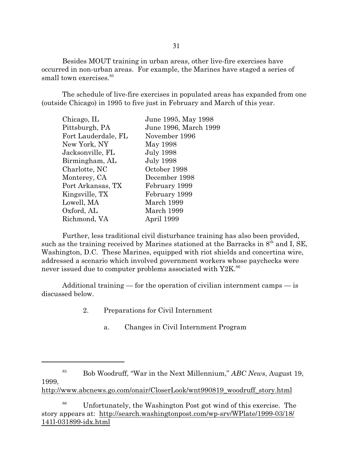Besides MOUT training in urban areas, other live-fire exercises have occurred in non-urban areas. For example, the Marines have staged a series of small town exercises.<sup>85</sup>

The schedule of live-fire exercises in populated areas has expanded from one (outside Chicago) in 1995 to five just in February and March of this year.

| Chicago, IL         | June 1995, May 1998   |
|---------------------|-----------------------|
| Pittsburgh, PA      | June 1996, March 1999 |
| Fort Lauderdale, FL | November 1996         |
| New York, NY        | May 1998              |
| Jacksonville, FL    | <b>July 1998</b>      |
| Birmingham, AL      | <b>July 1998</b>      |
| Charlotte, NC       | October 1998          |
| Monterey, CA        | December 1998         |
| Port Arkansas, TX   | February 1999         |
| Kingsville, TX      | February 1999         |
| Lowell, MA          | March 1999            |
| Oxford, AL          | March 1999            |
| Richmond, VA        | April 1999            |
|                     |                       |

Further, less traditional civil disturbance training has also been provided, such as the training received by Marines stationed at the Barracks in  $8<sup>th</sup>$  and I, SE, Washington, D.C. These Marines, equipped with riot shields and concertina wire, addressed a scenario which involved government workers whose paychecks were never issued due to computer problems associated with  $Y2K$ .<sup>86</sup>

Additional training — for the operation of civilian internment camps — is discussed below.

- 2. Preparations for Civil Internment
	- a. Changes in Civil Internment Program

http://www.abcnews.go.com/onair/CloserLook/wnt990819\_woodruff\_story.html

<sup>85</sup> Bob Woodruff, "War in the Next Millennium," *ABC News*, August 19, 1999,

<sup>&</sup>lt;sup>86</sup> Unfortunately, the Washington Post got wind of this exercise. The story appears at: http://search.washingtonpost.com/wp-srv/WPlate/1999-03/18/ 141l-031899-idx.html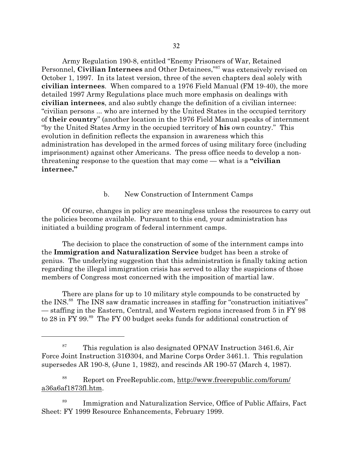Army Regulation 190-8, entitled "Enemy Prisoners of War, Retained Personnel, **Civilian Internees** and Other Detainees,"<sup>87</sup> was extensively revised on October 1, 1997. In its latest version, three of the seven chapters deal solely with **civilian internees**. When compared to a 1976 Field Manual (FM 19-40), the more detailed 1997 Army Regulations place much more emphasis on dealings with **civilian internees**, and also subtly change the definition of a civilian internee: "civilian persons ... who are interned by the United States in the occupied territory of **their country**" (another location in the 1976 Field Manual speaks of internment "by the United States Army in the occupied territory of **his** own country." This evolution in definition reflects the expansion in awareness which this administration has developed in the armed forces of using military force (including imprisonment) against other Americans. The press office needs to develop a nonthreatening response to the question that may come — what is a **"civilian internee."**

## b. New Construction of Internment Camps

Of course, changes in policy are meaningless unless the resources to carry out the policies become available. Pursuant to this end, your administration has initiated a building program of federal internment camps.

The decision to place the construction of some of the internment camps into the **Immigration and Naturalization Service** budget has been a stroke of genius. The underlying suggestion that this administration is finally taking action regarding the illegal immigration crisis has served to allay the suspicions of those members of Congress most concerned with the imposition of martial law.

There are plans for up to 10 military style compounds to be constructed by the INS.<sup>88</sup> The INS saw dramatic increases in staffing for "construction initiatives" — staffing in the Eastern, Central, and Western regions increased from 5 in FY 98 to 28 in FY 99.<sup>89</sup> The FY 00 budget seeks funds for additional construction of

<sup>&</sup>lt;sup>87</sup> This regulation is also designated OPNAV Instruction 3461.6, Air Force Joint Instruction 31Ø304, and Marine Corps Order 3461.1. This regulation supersedes AR 190-8, (June 1, 1982), and rescinds AR 190-57 (March 4, 1987).

<sup>88</sup> Report on FreeRepublic.com, http://www.freerepublic.com/forum/ a36a6af1873fl.htm.

<sup>89</sup> Immigration and Naturalization Service, Office of Public Affairs, Fact Sheet: FY 1999 Resource Enhancements, February 1999.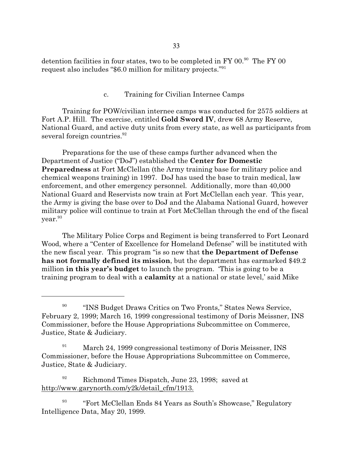detention facilities in four states, two to be completed in FY 00.<sup>90</sup> The FY 00 request also includes "\$6.0 million for military projects."<sup>91</sup>

#### c. Training for Civilian Internee Camps

Training for POW/civilian internee camps was conducted for 2575 soldiers at Fort A.P. Hill. The exercise, entitled **Gold Sword IV**, drew 68 Army Reserve, National Guard, and active duty units from every state, as well as participants from several foreign countries.<sup>92</sup>

Preparations for the use of these camps further advanced when the Department of Justice ("DoJ") established the **Center for Domestic Preparedness** at Fort McClellan (the Army training base for military police and chemical weapons training) in 1997. DoJ has used the base to train medical, law enforcement, and other emergency personnel. Additionally, more than 40,000 National Guard and Reservists now train at Fort McClellan each year. This year, the Army is giving the base over to DoJ and the Alabama National Guard, however military police will continue to train at Fort McClellan through the end of the fiscal year. 93

The Military Police Corps and Regiment is being transferred to Fort Leonard Wood, where a "Center of Excellence for Homeland Defense" will be instituted with the new fiscal year. This program "is so new that **the Department of Defense has not formally defined its mission**, but the department has earmarked \$49.2 million **in this year's budget** to launch the program. 'This is going to be a training program to deal with a **calamity** at a national or state level,' said Mike

<sup>91</sup> March 24, 1999 congressional testimony of Doris Meissner, INS Commissioner, before the House Appropriations Subcommittee on Commerce, Justice, State & Judiciary.

<sup>92</sup> Richmond Times Dispatch, June 23, 1998; saved at http://www.garynorth.com/y2k/detail\_cfm/1913.

93 "Fort McClellan Ends 84 Years as South's Showcase," Regulatory Intelligence Data, May 20, 1999.

<sup>90</sup> "INS Budget Draws Critics on Two Fronts," States News Service, February 2, 1999; March 16, 1999 congressional testimony of Doris Meissner, INS Commissioner, before the House Appropriations Subcommittee on Commerce, Justice, State & Judiciary.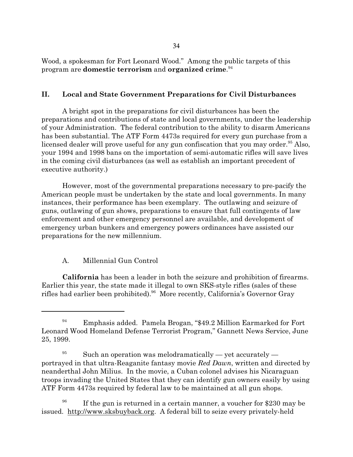Wood, a spokesman for Fort Leonard Wood." Among the public targets of this program are **domestic terrorism** and **organized crime**. 94

# **II. Local and State Government Preparations for Civil Disturbances**

A bright spot in the preparations for civil disturbances has been the preparations and contributions of state and local governments, under the leadership of your Administration. The federal contribution to the ability to disarm Americans has been substantial. The ATF Form 4473s required for every gun purchase from a licensed dealer will prove useful for any gun confiscation that you may order.<sup>95</sup> Also, your 1994 and 1998 bans on the importation of semi-automatic rifles will save lives in the coming civil disturbances (as well as establish an important precedent of executive authority.)

However, most of the governmental preparations necessary to pre-pacify the American people must be undertaken by the state and local governments. In many instances, their performance has been exemplary. The outlawing and seizure of guns, outlawing of gun shows, preparations to ensure that full contingents of law enforcement and other emergency personnel are available, and development of emergency urban bunkers and emergency powers ordinances have assisted our preparations for the new millennium.

## A. Millennial Gun Control

**California** has been a leader in both the seizure and prohibition of firearms. Earlier this year, the state made it illegal to own SKS-style rifles (sales of these rifles had earlier been prohibited).<sup>96</sup> More recently, California's Governor Gray

<sup>94</sup> Emphasis added. Pamela Brogan, "\$49.2 Million Earmarked for Fort Leonard Wood Homeland Defense Terrorist Program," Gannett News Service, June 25, 1999.

<sup>&</sup>lt;sup>95</sup> Such an operation was melodramatically — yet accurately portrayed in that ultra-Reaganite fantasy movie *Red Dawn*, written and directed by neanderthal John Milius. In the movie, a Cuban colonel advises his Nicaraguan troops invading the United States that they can identify gun owners easily by using ATF Form 4473s required by federal law to be maintained at all gun shops.

<sup>96</sup> If the gun is returned in a certain manner, a voucher for \$230 may be issued. http://www.sksbuyback.org. A federal bill to seize every privately-held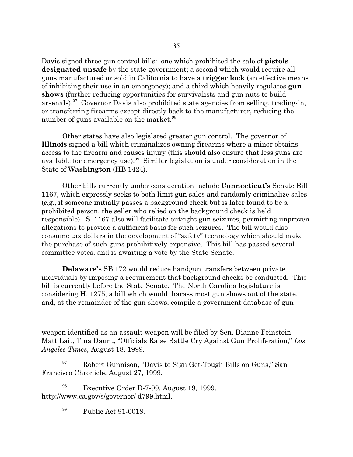Davis signed three gun control bills: one which prohibited the sale of **pistols designated unsafe** by the state government; a second which would require all guns manufactured or sold in California to have a **trigger lock** (an effective means of inhibiting their use in an emergency); and a third which heavily regulates **gun shows** (further reducing opportunities for survivalists and gun nuts to build arsenals).<sup>97</sup> Governor Davis also prohibited state agencies from selling, trading-in, or transferring firearms except directly back to the manufacturer, reducing the number of guns available on the market.<sup>98</sup>

Other states have also legislated greater gun control. The governor of **Illinois** signed a bill which criminalizes owning firearms where a minor obtains access to the firearm and causes injury (this should also ensure that less guns are available for emergency use).<sup>99</sup> Similar legislation is under consideration in the State of **Washington** (HB 1424).

Other bills currently under consideration include **Connecticut's** Senate Bill 1167, which expressly seeks to both limit gun sales and randomly criminalize sales (*e.g*., if someone initially passes a background check but is later found to be a prohibited person, the seller who relied on the background check is held responsible). S. 1167 also will facilitate outright gun seizures, permitting unproven allegations to provide a sufficient basis for such seizures. The bill would also consume tax dollars in the development of "safety" technology which should make the purchase of such guns prohibitively expensive. This bill has passed several committee votes, and is awaiting a vote by the State Senate.

**Delaware's** SB 172 would reduce handgun transfers between private individuals by imposing a requirement that background checks be conducted. This bill is currently before the State Senate. The North Carolina legislature is considering H. 1275, a bill which would harass most gun shows out of the state, and, at the remainder of the gun shows, compile a government database of gun

<sup>98</sup> Executive Order D-7-99, August 19, 1999. http://www.ca.gov/s/governor/ d799.html.

<sup>99</sup> Public Act 91-0018.

weapon identified as an assault weapon will be filed by Sen. Dianne Feinstein. Matt Lait, Tina Daunt, "Officials Raise Battle Cry Against Gun Proliferation," *Los Angeles Times*, August 18, 1999.

Robert Gunnison, "Davis to Sign Get-Tough Bills on Guns," San Francisco Chronicle, August 27, 1999.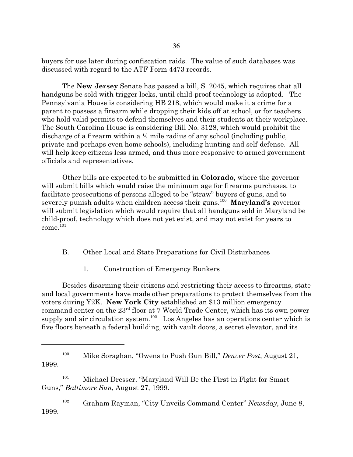buyers for use later during confiscation raids. The value of such databases was discussed with regard to the ATF Form 4473 records.

The **New Jersey** Senate has passed a bill, S. 2045, which requires that all handguns be sold with trigger locks, until child-proof technology is adopted. The Pennsylvania House is considering HB 218, which would make it a crime for a parent to possess a firearm while dropping their kids off at school, or for teachers who hold valid permits to defend themselves and their students at their workplace. The South Carolina House is considering Bill No. 3128, which would prohibit the discharge of a firearm within a  $\frac{1}{2}$  mile radius of any school (including public, private and perhaps even home schools), including hunting and self-defense. All will help keep citizens less armed, and thus more responsive to armed government officials and representatives.

Other bills are expected to be submitted in **Colorado**, where the governor will submit bills which would raise the minimum age for firearms purchases, to facilitate prosecutions of persons alleged to be "straw" buyers of guns, and to severely punish adults when children access their guns.<sup>100</sup> **Maryland's** governor will submit legislation which would require that all handguns sold in Maryland be child-proof, technology which does not yet exist, and may not exist for years to  $come.<sup>101</sup>$ 

#### B. Other Local and State Preparations for Civil Disturbances

1. Construction of Emergency Bunkers

Besides disarming their citizens and restricting their access to firearms, state and local governments have made other preparations to protect themselves from the voters during Y2K. **New York City** established an \$13 million emergency command center on the  $23^{\rm rd}$  floor at 7 World Trade Center, which has its own power supply and air circulation system.<sup>102</sup> Los Angeles has an operations center which is five floors beneath a federal building, with vault doors, a secret elevator, and its

<sup>101</sup> Michael Dresser, "Maryland Will Be the First in Fight for Smart Guns," *Baltimore Sun*, August 27, 1999.

<sup>102</sup> Graham Rayman, "City Unveils Command Center" *Newsday*, June 8, 1999.

<sup>100</sup> Mike Soraghan, "Owens to Push Gun Bill," *Denver Post*, August 21, 1999.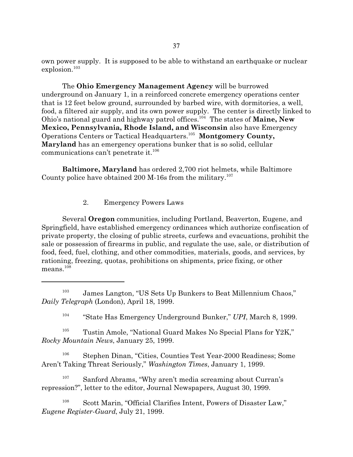own power supply. It is supposed to be able to withstand an earthquake or nuclear explosion.<sup>103</sup>

The **Ohio Emergency Management Agency** will be burrowed underground on January 1, in a reinforced concrete emergency operations center that is 12 feet below ground, surrounded by barbed wire, with dormitories, a well, food, a filtered air supply, and its own power supply. The center is directly linked to Ohio's national guard and highway patrol offices.<sup>104</sup> The states of Maine, New **Mexico, Pennsylvania, Rhode Island, and Wisconsin** also have Emergency Operations Centers or Tactical Headquarters.<sup>105</sup> **Montgomery County, Maryland** has an emergency operations bunker that is so solid, cellular communications can't penetrate it.<sup>106</sup>

**Baltimore, Maryland** has ordered 2,700 riot helmets, while Baltimore County police have obtained 200 M-16s from the military.<sup>107</sup>

## 2. Emergency Powers Laws

Several **Oregon** communities, including Portland, Beaverton, Eugene, and Springfield, have established emergency ordinances which authorize confiscation of private property, the closing of public streets, curfews and evacuations, prohibit the sale or possession of firearms in public, and regulate the use, sale, or distribution of food, feed, fuel, clothing, and other commodities, materials, goods, and services, by rationing, freezing, quotas, prohibitions on shipments, price fixing, or other means.<sup>108</sup>

104 "State Has Emergency Underground Bunker," *UPI*, March 8, 1999.

 $105$  Tustin Amole, "National Guard Makes No Special Plans for Y2K," *Rocky Mountain News*, January 25, 1999.

<sup>106</sup> Stephen Dinan, "Cities, Counties Test Year-2000 Readiness; Some Aren't Taking Threat Seriously," *Washington Times*, January 1, 1999.

<sup>107</sup> Sanford Abrams, "Why aren't media screaming about Curran's repression?", letter to the editor, Journal Newspapers, August 30, 1999.

<sup>108</sup> Scott Marin, "Official Clarifies Intent, Powers of Disaster Law," *Eugene Register-Guard*, July 21, 1999.

<sup>103</sup> James Langton, "US Sets Up Bunkers to Beat Millennium Chaos," *Daily Telegraph* (London), April 18, 1999.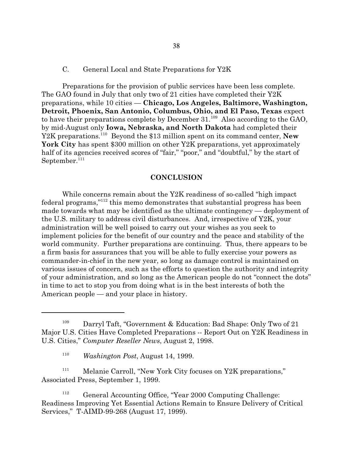#### C. General Local and State Preparations for Y2K

Preparations for the provision of public services have been less complete. The GAO found in July that only two of 21 cities have completed their Y2K preparations, while 10 cities — **Chicago, Los Angeles, Baltimore, Washington, Detroit, Phoenix, San Antonio, Columbus, Ohio, and El Paso, Texas** expect to have their preparations complete by December  $31.^{109}$  Also according to the GAO, by mid-August only **Iowa, Nebraska, and North Dakota** had completed their Y2K preparations.<sup>110</sup> Beyond the \$13 million spent on its command center, **New** York City has spent \$300 million on other Y2K preparations, yet approximately half of its agencies received scores of "fair," "poor," and "doubtful," by the start of September. $111$ 

#### **CONCLUSION**

While concerns remain about the Y2K readiness of so-called "high impact federal programs,"<sup>112</sup> this memo demonstrates that substantial progress has been made towards what may be identified as the ultimate contingency — deployment of the U.S. military to address civil disturbances. And, irrespective of Y2K, your administration will be well poised to carry out your wishes as you seek to implement policies for the benefit of our country and the peace and stability of the world community. Further preparations are continuing. Thus, there appears to be a firm basis for assurances that you will be able to fully exercise your powers as commander-in-chief in the new year, so long as damage control is maintained on various issues of concern, such as the efforts to question the authority and integrity of your administration, and so long as the American people do not "connect the dots" in time to act to stop you from doing what is in the best interests of both the American people — and your place in history.

<sup>111</sup> Melanie Carroll, "New York City focuses on Y2K preparations," Associated Press, September 1, 1999.

<sup>&</sup>lt;sup>109</sup> Darryl Taft, "Government & Education: Bad Shape: Only Two of 21 Major U.S. Cities Have Completed Preparations -- Report Out on Y2K Readiness in U.S. Cities," *Computer Reseller News*, August 2, 1998.

<sup>110</sup> *Washington Post*, August 14, 1999.

<sup>112</sup> General Accounting Office, "Year 2000 Computing Challenge: Readiness Improving Yet Essential Actions Remain to Ensure Delivery of Critical Services," T-AIMD-99-268 (August 17, 1999).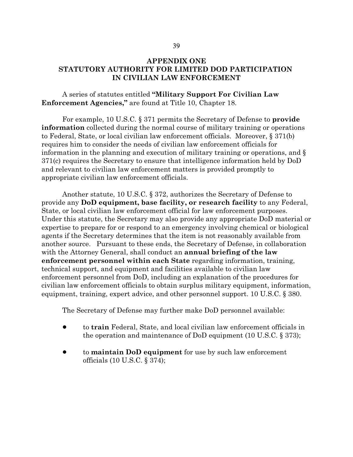## **APPENDIX ONE STATUTORY AUTHORITY FOR LIMITED DOD PARTICIPATION IN CIVILIAN LAW ENFORCEMENT**

## A series of statutes entitled **"Military Support For Civilian Law Enforcement Agencies,"** are found at Title 10, Chapter 18.

For example, 10 U.S.C. § 371 permits the Secretary of Defense to **provide information** collected during the normal course of military training or operations to Federal, State, or local civilian law enforcement officials. Moreover, § 371(b) requires him to consider the needs of civilian law enforcement officials for information in the planning and execution of military training or operations, and § 371(c) requires the Secretary to ensure that intelligence information held by DoD and relevant to civilian law enforcement matters is provided promptly to appropriate civilian law enforcement officials.

Another statute, 10 U.S.C. § 372, authorizes the Secretary of Defense to provide any **DoD equipment, base facility, or research facility** to any Federal, State, or local civilian law enforcement official for law enforcement purposes. Under this statute, the Secretary may also provide any appropriate DoD material or expertise to prepare for or respond to an emergency involving chemical or biological agents if the Secretary determines that the item is not reasonably available from another source. Pursuant to these ends, the Secretary of Defense, in collaboration with the Attorney General, shall conduct an **annual briefing of the law enforcement personnel within each State** regarding information, training, technical support, and equipment and facilities available to civilian law enforcement personnel from DoD, including an explanation of the procedures for civilian law enforcement officials to obtain surplus military equipment, information, equipment, training, expert advice, and other personnel support. 10 U.S.C. § 380.

The Secretary of Defense may further make DoD personnel available:

- ! to **train** Federal, State, and local civilian law enforcement officials in the operation and maintenance of DoD equipment (10 U.S.C. § 373);
- ! to **maintain DoD equipment** for use by such law enforcement officials (10 U.S.C. § 374);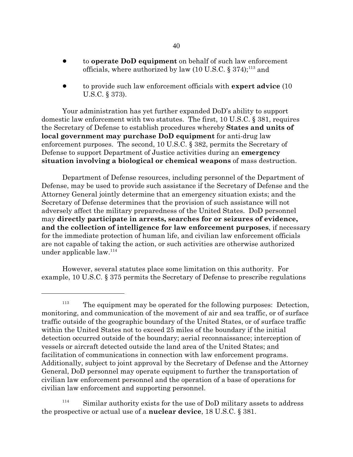- ! to **operate DoD equipment** on behalf of such law enforcement officials, where authorized by law (10 U.S.C.  $\S 374$ );<sup>113</sup> and
- ! to provide such law enforcement officials with **expert advice** (10 U.S.C. § 373).

Your administration has yet further expanded DoD's ability to support domestic law enforcement with two statutes. The first, 10 U.S.C. § 381, requires the Secretary of Defense to establish procedures whereby **States and units of local government may purchase DoD equipment** for anti-drug law enforcement purposes. The second, 10 U.S.C. § 382, permits the Secretary of Defense to support Department of Justice activities during an **emergency situation involving a biological or chemical weapons** of mass destruction.

Department of Defense resources, including personnel of the Department of Defense, may be used to provide such assistance if the Secretary of Defense and the Attorney General jointly determine that an emergency situation exists; and the Secretary of Defense determines that the provision of such assistance will not adversely affect the military preparedness of the United States. DoD personnel may **directly participate in arrests, searches for or seizures of evidence, and the collection of intelligence for law enforcement purposes**, if necessary for the immediate protection of human life, and civilian law enforcement officials are not capable of taking the action, or such activities are otherwise authorized under applicable  $law.<sup>114</sup>$ 

However, several statutes place some limitation on this authority. For example, 10 U.S.C. § 375 permits the Secretary of Defense to prescribe regulations

 $113$  The equipment may be operated for the following purposes: Detection, monitoring, and communication of the movement of air and sea traffic, or of surface traffic outside of the geographic boundary of the United States, or of surface traffic within the United States not to exceed 25 miles of the boundary if the initial detection occurred outside of the boundary; aerial reconnaissance; interception of vessels or aircraft detected outside the land area of the United States; and facilitation of communications in connection with law enforcement programs. Additionally, subject to joint approval by the Secretary of Defense and the Attorney General, DoD personnel may operate equipment to further the transportation of civilian law enforcement personnel and the operation of a base of operations for civilian law enforcement and supporting personnel.

 $114$  Similar authority exists for the use of DoD military assets to address the prospective or actual use of a **nuclear device**, 18 U.S.C. § 381.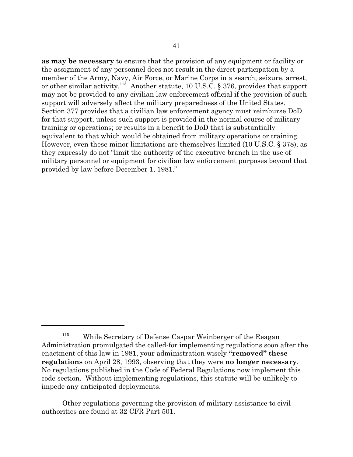**as may be necessary** to ensure that the provision of any equipment or facility or the assignment of any personnel does not result in the direct participation by a member of the Army, Navy, Air Force, or Marine Corps in a search, seizure, arrest, or other similar activity.<sup>115</sup> Another statute, 10 U.S.C. § 376, provides that support may not be provided to any civilian law enforcement official if the provision of such support will adversely affect the military preparedness of the United States. Section 377 provides that a civilian law enforcement agency must reimburse DoD for that support, unless such support is provided in the normal course of military training or operations; or results in a benefit to DoD that is substantially equivalent to that which would be obtained from military operations or training. However, even these minor limitations are themselves limited (10 U.S.C. § 378), as they expressly do not "limit the authority of the executive branch in the use of military personnel or equipment for civilian law enforcement purposes beyond that provided by law before December 1, 1981."

<sup>&</sup>lt;sup>115</sup> While Secretary of Defense Caspar Weinberger of the Reagan Administration promulgated the called-for implementing regulations soon after the enactment of this law in 1981, your administration wisely **"removed" these regulations** on April 28, 1993, observing that they were **no longer necessary**. No regulations published in the Code of Federal Regulations now implement this code section. Without implementing regulations, this statute will be unlikely to impede any anticipated deployments.

Other regulations governing the provision of military assistance to civil authorities are found at 32 CFR Part 501.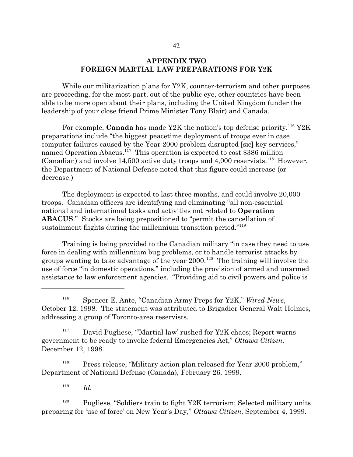## **APPENDIX TWO FOREIGN MARTIAL LAW PREPARATIONS FOR Y2K**

While our militarization plans for Y2K, counter-terrorism and other purposes are proceeding, for the most part, out of the public eye, other countries have been able to be more open about their plans, including the United Kingdom (under the leadership of your close friend Prime Minister Tony Blair) and Canada.

For example, **Canada** has made Y2K the nation's top defense priority.<sup>116</sup> Y2K preparations include "the biggest peacetime deployment of troops ever in case computer failures caused by the Year 2000 problem disrupted [sic] key services," named Operation Abacus.<sup>117</sup> This operation is expected to cost \$386 million (Canadian) and involve  $14,500$  active duty troops and  $4,000$  reservists.<sup>118</sup> However, the Department of National Defense noted that this figure could increase (or decrease.)

The deployment is expected to last three months, and could involve 20,000 troops. Canadian officers are identifying and eliminating "all non-essential national and international tasks and activities not related to **Operation ABACUS**." Stocks are being prepositioned to "permit the cancellation of sustainment flights during the millennium transition period."<sup>119</sup>

Training is being provided to the Canadian military "in case they need to use force in dealing with millennium bug problems, or to handle terrorist attacks by groups wanting to take advantage of the year  $2000.^{120}$  The training will involve the use of force "in domestic operations," including the provision of armed and unarmed assistance to law enforcement agencies. "Providing aid to civil powers and police is

<sup>118</sup> Press release, "Military action plan released for Year 2000 problem," Department of National Defense (Canada), February 26, 1999.

119 *Id.*

 $120$  Pugliese, "Soldiers train to fight Y2K terrorism; Selected military units preparing for 'use of force' on New Year's Day," *Ottawa Citizen*, September 4, 1999.

<sup>116</sup> Spencer E. Ante, "Canadian Army Preps for Y2K," *Wired News*, October 12, 1998. The statement was attributed to Brigadier General Walt Holmes, addressing a group of Toronto-area reservists.

 $117$  David Pugliese, "Martial law' rushed for Y2K chaos; Report warns government to be ready to invoke federal Emergencies Act," *Ottawa Citizen*, December 12, 1998.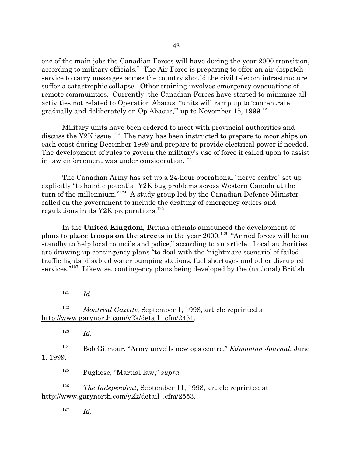one of the main jobs the Canadian Forces will have during the year 2000 transition, according to military officials." The Air Force is preparing to offer an air-dispatch service to carry messages across the country should the civil telecom infrastructure suffer a catastrophic collapse. Other training involves emergency evacuations of remote communities. Currently, the Canadian Forces have started to minimize all activities not related to Operation Abacus; "units will ramp up to 'concentrate gradually and deliberately on  $Op$  Abacus," up to November 15, 1999.<sup>121</sup>

Military units have been ordered to meet with provincial authorities and discuss the Y2K issue.<sup>122</sup> The navy has been instructed to prepare to moor ships on each coast during December 1999 and prepare to provide electrical power if needed. The development of rules to govern the military's use of force if called upon to assist in law enforcement was under consideration.<sup>123</sup>

The Canadian Army has set up a 24-hour operational "nerve centre" set up explicitly "to handle potential Y2K bug problems across Western Canada at the turn of the millennium."<sup>124</sup> A study group led by the Canadian Defence Minister called on the government to include the drafting of emergency orders and regulations in its Y2K preparations.<sup>125</sup>

In the **United Kingdom**, British officials announced the development of plans to **place troops on the streets** in the year 2000.<sup>126</sup> "Armed forces will be on standby to help local councils and police," according to an article. Local authorities are drawing up contingency plans "to deal with the 'nightmare scenario' of failed traffic lights, disabled water pumping stations, fuel shortages and other disrupted services."<sup>127</sup> Likewise, contingency plans being developed by the (national) British

121 *Id.*

<sup>122</sup> *Montreal Gazette*, September 1, 1998, article reprinted at http://www.garynorth.com/y2k/detail\_.cfm/2451.

123 *Id.*

<sup>124</sup> Bob Gilmour, "Army unveils new ops centre," *Edmonton Journal*, June 1, 1999.

<sup>125</sup> Pugliese, "Martial law," *supra*.

<sup>126</sup> *The Independent*, September 11, 1998, article reprinted at http://www.garynorth.com/y2k/detail\_.cfm/2553.

127 *Id.*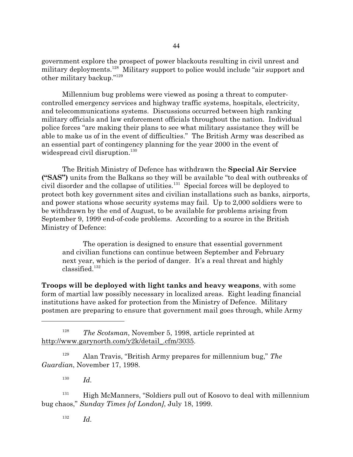government explore the prospect of power blackouts resulting in civil unrest and military deployments.<sup>128</sup> Military support to police would include "air support and other military backup."<sup>129</sup>

Millennium bug problems were viewed as posing a threat to computercontrolled emergency services and highway traffic systems, hospitals, electricity, and telecommunications systems. Discussions occurred between high ranking military officials and law enforcement officials throughout the nation. Individual police forces "are making their plans to see what military assistance they will be able to make us of in the event of difficulties." The British Army was described as an essential part of contingency planning for the year 2000 in the event of widespread civil disruption.<sup>130</sup>

The British Ministry of Defence has withdrawn the **Special Air Service ("SAS")** units from the Balkans so they will be available "to deal with outbreaks of civil disorder and the collapse of utilities.<sup>131</sup> Special forces will be deployed to protect both key government sites and civilian installations such as banks, airports, and power stations whose security systems may fail. Up to 2,000 soldiers were to be withdrawn by the end of August, to be available for problems arising from September 9, 1999 end-of-code problems. According to a source in the British Ministry of Defence:

The operation is designed to ensure that essential government and civilian functions can continue between September and February next year, which is the period of danger. It's a real threat and highly  $classified.<sup>132</sup>$ 

**Troops will be deployed with light tanks and heavy weapons**, with some form of martial law possibly necessary in localized areas. Eight leading financial institutions have asked for protection from the Ministry of Defence. Military postmen are preparing to ensure that government mail goes through, while Army

<sup>128</sup> *The Scotsman*, November 5, 1998, article reprinted at http://www.garynorth.com/y2k/detail\_.cfm/3035.

<sup>129</sup> Alan Travis, "British Army prepares for millennium bug," *The Guardian*, November 17, 1998.

130 *Id.*

<sup>131</sup> High McManners, "Soldiers pull out of Kosovo to deal with millennium bug chaos," *Sunday Times [of London]*, July 18, 1999.

132 *Id.*